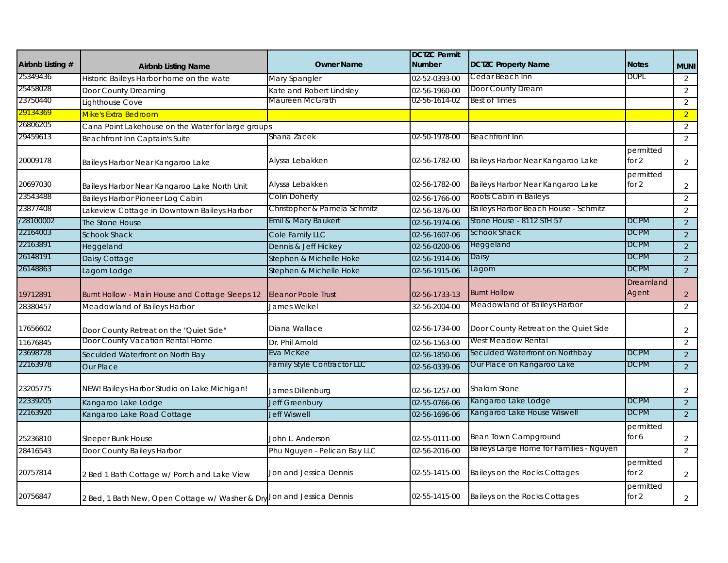| Airbnb Listing # | <b>Airbnb Listing Name</b>                                             | <b>Owner Name</b>                  | <b>DCTZC Permit</b><br><b>Number</b> | <b>DCTZC Property Name</b>               | <b>Notes</b>         | <b>MUNI</b>    |
|------------------|------------------------------------------------------------------------|------------------------------------|--------------------------------------|------------------------------------------|----------------------|----------------|
| 25349436         | Historic Baileys Harbor home on the wate                               | Mary Spangler                      | 02-52-0393-00                        | Cedar Beach Inn                          | <b>DUPL</b>          | 2              |
| 25458028         | Door County Dreaming                                                   | Kate and Robert Lindsley           | 02-56-1960-00                        | Door County Dream                        |                      | 2              |
| 23750440         | Lighthouse Cove                                                        | Maureen McGrath                    | 02-56-1614-02                        | Best of Times                            |                      | 2              |
| 29134369         | <b>Mike's Extra Bedroom</b>                                            |                                    |                                      |                                          |                      | $\overline{2}$ |
| 26806205         | Cana Point Lakehouse on the Water for large groups                     |                                    |                                      |                                          |                      | $\overline{2}$ |
| 29459613         | Beachfront Inn Captain's Suite                                         | Shana Zacek                        | 02-50-1978-00                        | Beachfront Inn                           |                      | 2              |
| 20009178         | Baileys Harbor Near Kangaroo Lake                                      | Alyssa Lebakken                    | 02-56-1782-00                        | Baileys Harbor Near Kangaroo Lake        | permitted<br>for 2   | 2              |
| 20697030         | Baileys Harbor Near Kangaroo Lake North Unit                           | Alyssa Lebakken                    | 02-56-1782-00                        | Baileys Harbor Near Kangaroo Lake        | permitted<br>for 2   | $\overline{2}$ |
| 23543488         | Baileys Harbor Pioneer Log Cabin                                       | Colin Doherty                      | 02-56-1766-00                        | Roots Cabin in Baileys                   |                      | 2              |
| 23877408         | Lakeview Cottage in Downtown Baileys Harbor                            | Christopher & Pamela Schmitz       | 02-56-1876-00                        | Baileys Harbor Beach House - Schmitz     |                      | 2              |
| /28100002        | The Stone House                                                        | Emil & Mary Baukert                | 02-56-1974-06                        | Stone House - 8112 STH 57                | <b>DCPM</b>          | 2              |
| 22164003         | <b>Schook Shack</b>                                                    | Cole Family LLC                    | 02-56-1607-06                        | Schook Shack                             | <b>DCPM</b>          | 2              |
| 22163891         | Heggeland                                                              | Dennis & Jeff Hickey               | 02-56-0200-06                        | Heggeland                                | <b>DCPM</b>          | 2              |
| 26148191         | Daisy Cottage                                                          | Stephen & Michelle Hoke            | 02-56-1914-06                        | Daisy                                    | <b>DCPM</b>          | 2              |
| 26148863         | Lagom Lodge                                                            | Stephen & Michelle Hoke            | 02-56-1915-06                        | Lagom                                    | DCPM                 | $\overline{2}$ |
| 19712891         | Burnt Hollow - Main House and Cottage Sleeps 12                        | <b>Eleanor Poole Trust</b>         | 02-56-1733-13                        | <b>Burnt Hollow</b>                      | Dreamland<br>Agent   | $\overline{2}$ |
| 28380457         | Meadowland of Baileys Harbor                                           | James Weikel                       | 32-56-2004-00                        | Meadowland of Baileys Harbor             |                      | 2              |
| 17656602         | Door County Retreat on the "Quiet Side"                                | Diana Wallace                      | 02-56-1734-00                        | Door County Retreat on the Quiet Side    |                      | 2              |
| 11676845         | Door County Vacation Rental Home                                       | Dr. Phil Arnold                    | 02-56-1563-00                        | West Meadow Rental                       |                      | 2              |
| 23698728         | Seculded Waterfront on North Bay                                       | Eva McKee                          | 02-56-1850-06                        | Seculded Waterfront on Northbay          | <b>DCPM</b>          | $\sqrt{2}$     |
| 22163978         | <b>Our Place</b>                                                       | <b>Family Style Contractor LLC</b> | 02-56-0339-06                        | Our Place on Kangaroo Lake               | <b>DCPM</b>          | $\overline{2}$ |
| 23205775         | NEW! Baileys Harbor Studio on Lake Michigan!                           | James Dillenburg                   | 02-56-1257-00                        | <b>Shalom Stone</b>                      |                      | 2              |
| 22339205         | Kangaroo Lake Lodge                                                    | <b>Jeff Greenbury</b>              | 02-55-0766-06                        | Kangaroo Lake Lodge                      | <b>DCPM</b>          | $\overline{2}$ |
| 22163920         | Kangaroo Lake Road Cottage                                             | <b>Jeff Wiswell</b>                | 02-56-1696-06                        | Kangaroo Lake House Wiswell              | <b>DCPM</b>          | 2              |
| 25236810         | Sleeper Bunk House                                                     | John L. Anderson                   | 02-55-0111-00                        | Bean Town Campground                     | permitted<br>for 6   | 2              |
| 28416543         | Door County Baileys Harbor                                             | Phu Nguyen - Pelican Bay LLC       | 02-56-2016-00                        | Baileys Large Home for Families - Nguyen |                      | 2              |
| 20757814         | 2 Bed 1 Bath Cottage w/ Porch and Lake View                            | Jon and Jessica Dennis             | 02-55-1415-00                        | Baileys on the Rocks Cottages            | permitted<br>for $2$ | $\overline{2}$ |
| 20756847         | 2 Bed, 1 Bath New, Open Cottage w/ Washer & Dry Jon and Jessica Dennis |                                    | 02-55-1415-00                        | Baileys on the Rocks Cottages            | permitted<br>for 2   | $\overline{2}$ |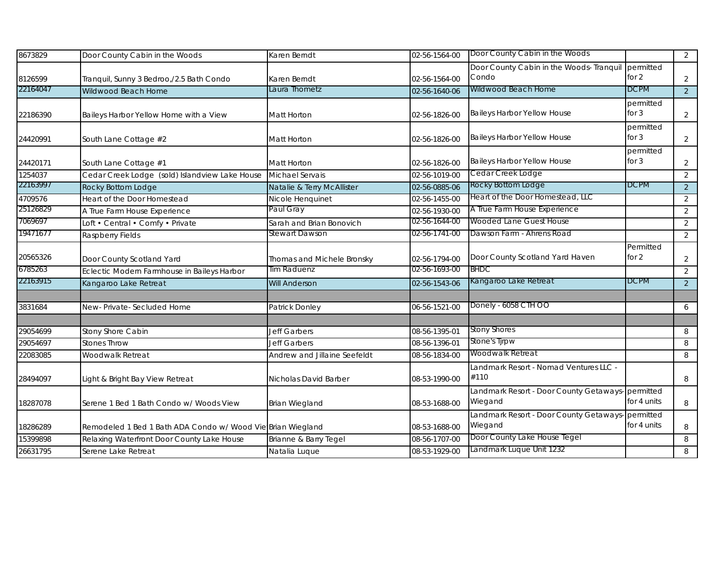| 8673829  | Door County Cabin in the Woods                              | Karen Berndt                 | 02-56-1564-00 | Door County Cabin in the Woods                               |                      | 2              |
|----------|-------------------------------------------------------------|------------------------------|---------------|--------------------------------------------------------------|----------------------|----------------|
| 8126599  | Tranquil, Sunny 3 Bedroo,/2.5 Bath Condo                    | Karen Berndt                 | 02-56-1564-00 | Door County Cabin in the Woods- Tranquil<br>Condo            | permitted<br>for 2   | 2              |
| 22164047 | Wildwood Beach Home                                         | Laura Thometz                | 02-56-1640-06 | Wildwood Beach Home                                          | <b>DCPM</b>          | $\overline{2}$ |
| 22186390 | Baileys Harbor Yellow Home with a View                      | Matt Horton                  | 02-56-1826-00 | Baileys Harbor Yellow House                                  | permitted<br>for $3$ | 2              |
| 24420991 | South Lane Cottage #2                                       | Matt Horton                  | 02-56-1826-00 | Baileys Harbor Yellow House                                  | permitted<br>for $3$ | $\overline{2}$ |
| 24420171 | South Lane Cottage #1                                       | <b>Matt Horton</b>           | 02-56-1826-00 | <b>Baileys Harbor Yellow House</b>                           | permitted<br>for $3$ | $\overline{2}$ |
| 1254037  | Cedar Creek Lodge (sold) Islandview Lake House              | <b>Michael Servais</b>       | 02-56-1019-00 | Cedar Creek Lodge                                            |                      | 2              |
| 22163997 | Rocky Bottom Lodge                                          | Natalie & Terry McAllister   | 02-56-0885-06 | Rocky Bottom Lodge                                           | <b>DCPM</b>          | 2              |
| 4709576  | Heart of the Door Homestead                                 | Nicole Henquinet             | 02-56-1455-00 | Heart of the Door Homestead, LLC                             |                      | 2              |
| 25126829 | A True Farm House Experience                                | Paul Gray                    | 02-56-1930-00 | A True Farm House Experience                                 |                      | 2              |
| 7069697  | Loft • Central • Comfy • Private                            | Sarah and Brian Bonovich     | 02-56-1644-00 | Wooded Lane Guest House                                      |                      | 2              |
| 19471677 | Raspberry Fields                                            | Stewart Dawson               | 02-56-1741-00 | Dawson Farm - Ahrens Road                                    |                      | 2              |
| 20565326 | Door County Scotland Yard                                   | Thomas and Michele Bronsky   | 02-56-1794-00 | Door County Scotland Yard Haven                              | Permitted<br>for 2   | $\overline{2}$ |
| 6785263  | Eclectic Modern Farmhouse in Baileys Harbor                 | Tim Raduenz                  | 02-56-1693-00 | <b>BHDC</b>                                                  |                      | 2              |
| 22163915 | Kangaroo Lake Retreat                                       | <b>Will Anderson</b>         | 02-56-1543-06 | Kangaroo Lake Retreat                                        | <b>DCPM</b>          | 2              |
|          |                                                             |                              |               |                                                              |                      |                |
| 3831684  | New-Private-Secluded Home                                   | Patrick Donley               | 06-56-1521-00 | Donely - 6058 CTH OO                                         |                      | 6              |
| 29054699 | Stony Shore Cabin                                           | <b>Jeff Garbers</b>          | 08-56-1395-01 | <b>Stony Shores</b>                                          |                      | 8              |
| 29054697 | <b>Stones Throw</b>                                         | Jeff Garbers                 | 08-56-1396-01 | Stone's Tjrpw                                                |                      | 8              |
| 22083085 | Woodwalk Retreat                                            | Andrew and Jillaine Seefeldt | 08-56-1834-00 | Woodwalk Retreat                                             |                      | 8              |
| 28494097 | Light & Bright Bay View Retreat                             | Nicholas David Barber        | 08-53-1990-00 | Landmark Resort - Nomad Ventures LLC -<br>#110               |                      | 8              |
| 18287078 | Serene 1 Bed 1 Bath Condo w/ Woods View                     | <b>Brian Wiegland</b>        | 08-53-1688-00 | Landmark Resort - Door County Getaways-permitted<br>Wiegand  | for 4 units          | 8              |
| 18286289 | Remodeled 1 Bed 1 Bath ADA Condo w/ Wood Vie Brian Wiegland |                              | 08-53-1688-00 | Landmark Resort - Door County Getaways- permitted<br>Wiegand | for 4 units          | 8              |
| 15399898 | Relaxing Waterfront Door County Lake House                  | Brianne & Barry Tegel        | 08-56-1707-00 | Door County Lake House Tegel                                 |                      | 8              |
| 26631795 | Serene Lake Retreat                                         | Natalia Luque                | 08-53-1929-00 | Landmark Luque Unit 1232                                     |                      | 8              |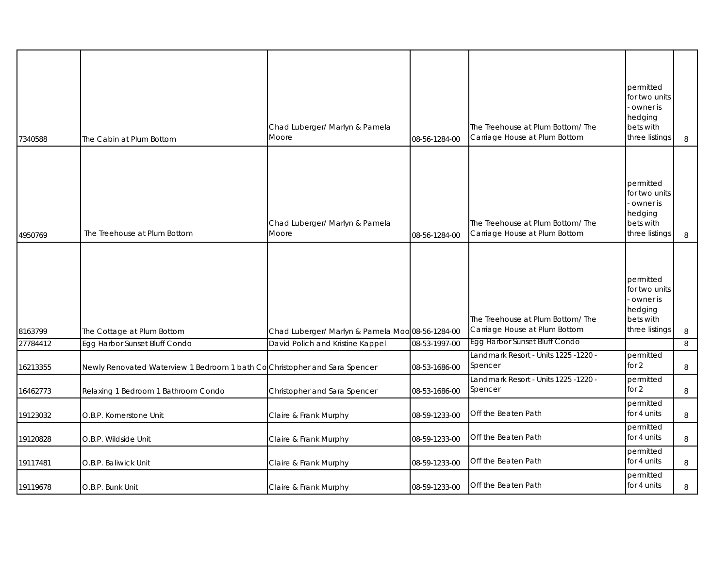| 7340588  | The Cabin at Plum Bottom                                                   | Chad Luberger/ Marlyn & Pamela<br>Moore          | 08-56-1284-00 | The Treehouse at Plum Bottom/ The<br>Carriage House at Plum Bottom | permitted<br>for two units<br>owner is<br>hedging<br>bets with<br>three listings | 8      |
|----------|----------------------------------------------------------------------------|--------------------------------------------------|---------------|--------------------------------------------------------------------|----------------------------------------------------------------------------------|--------|
| 4950769  | The Treehouse at Plum Bottom                                               | Chad Luberger/ Marlyn & Pamela<br>Moore          | 08-56-1284-00 | The Treehouse at Plum Bottom/ The<br>Carriage House at Plum Bottom | permitted<br>for two units<br>owner is<br>hedging<br>bets with<br>three listings | $\, 8$ |
| 8163799  | The Cottage at Plum Bottom                                                 | Chad Luberger/ Marlyn & Pamela Moo 08-56-1284-00 |               | The Treehouse at Plum Bottom/The<br>Carriage House at Plum Bottom  | permitted<br>for two units<br>owner is<br>hedging<br>bets with<br>three listings | 8      |
| 27784412 | Egg Harbor Sunset Bluff Condo                                              | David Polich and Kristine Kappel                 | 08-53-1997-00 | Egg Harbor Sunset Bluff Condo                                      |                                                                                  | 8      |
| 16213355 | Newly Renovated Waterview 1 Bedroom 1 bath Co Christopher and Sara Spencer |                                                  | 08-53-1686-00 | Landmark Resort - Units 1225 -1220 -<br>Spencer                    | permitted<br>for $2$                                                             | 8      |
| 16462773 | Relaxing 1 Bedroom 1 Bathroom Condo                                        | Christopher and Sara Spencer                     | 08-53-1686-00 | Landmark Resort - Units 1225 -1220 -<br>Spencer                    | permitted<br>for $2$                                                             | 8      |
| 19123032 | O.B.P. Kornerstone Unit                                                    | Claire & Frank Murphy                            | 08-59-1233-00 | Off the Beaten Path                                                | permitted<br>for 4 units                                                         | 8      |
| 19120828 | O.B.P. Wildside Unit                                                       | Claire & Frank Murphy                            | 08-59-1233-00 | Off the Beaten Path                                                | permitted<br>for 4 units                                                         | 8      |
| 19117481 | O.B.P. Baliwick Unit                                                       | Claire & Frank Murphy                            | 08-59-1233-00 | Off the Beaten Path                                                | permitted<br>for 4 units                                                         | 8      |
| 19119678 | O.B.P. Bunk Unit                                                           | Claire & Frank Murphy                            | 08-59-1233-00 | Off the Beaten Path                                                | permitted<br>for 4 units                                                         | 8      |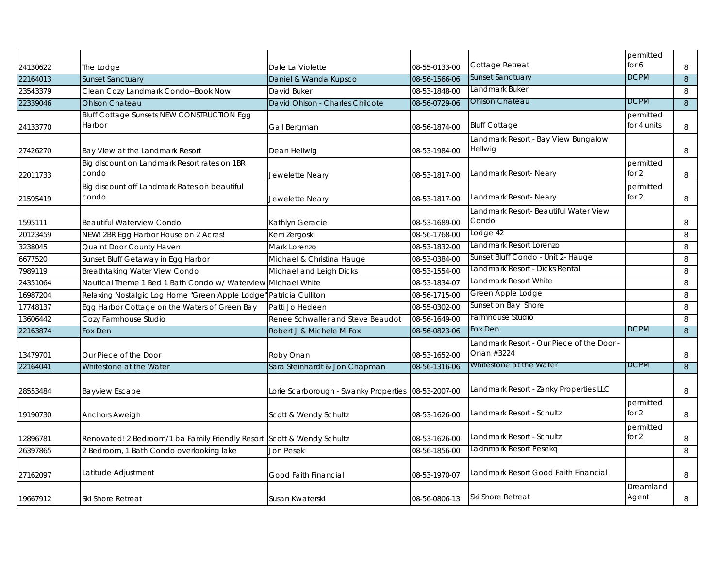|          |                                                                        |                                                     |               |                                           | permitted   |   |
|----------|------------------------------------------------------------------------|-----------------------------------------------------|---------------|-------------------------------------------|-------------|---|
| 24130622 | The Lodge                                                              | Dale La Violette                                    | 08-55-0133-00 | Cottage Retreat                           | for 6       | 8 |
| 22164013 | <b>Sunset Sanctuary</b>                                                | Daniel & Wanda Kupsco                               | 08-56-1566-06 | <b>Sunset Sanctuary</b>                   | <b>DCPM</b> | 8 |
| 23543379 | Clean Cozy Landmark Condo--Book Now                                    | David Buker                                         | 08-53-1848-00 | Landmark Buker                            |             | 8 |
| 22339046 | Ohlson Chateau                                                         | David Ohlson - Charles Chilcote                     | 08-56-0729-06 | <b>Ohlson Chateau</b>                     | <b>DCPM</b> | 8 |
|          | <b>Bluff Cottage Sunsets NEW CONSTRUCTION Egg</b>                      |                                                     |               |                                           | permitted   |   |
| 24133770 | Harbor                                                                 | Gail Bergman                                        | 08-56-1874-00 | <b>Bluff Cottage</b>                      | for 4 units | 8 |
|          |                                                                        |                                                     |               | Landmark Resort - Bay View Bungalow       |             |   |
| 27426270 | Bay View at the Landmark Resort                                        | Dean Hellwig                                        | 08-53-1984-00 | Hellwig                                   |             | 8 |
|          | Big discount on Landmark Resort rates on 1BR                           |                                                     |               |                                           | permitted   |   |
| 22011733 | condo                                                                  | Jewelette Neary                                     | 08-53-1817-00 | Landmark Resort- Neary                    | for $2$     | 8 |
|          | Big discount off Landmark Rates on beautiful                           |                                                     |               |                                           | permitted   |   |
| 21595419 | condo                                                                  | Jewelette Neary                                     | 08-53-1817-00 | Landmark Resort- Neary                    | for $2$     | 8 |
|          |                                                                        |                                                     |               | Landmark Resort- Beautiful Water View     |             |   |
| 1595111  | Beautiful Waterview Condo                                              | Kathlyn Geracie                                     | 08-53-1689-00 | Condo                                     |             | 8 |
| 20123459 | NEW! 2BR Egg Harbor House on 2 Acres!                                  | Kerri Zergoski                                      | 08-56-1768-00 | Lodge 42                                  |             | 8 |
| 3238045  | Quaint Door County Haven                                               | Mark Lorenzo                                        | 08-53-1832-00 | Landmark Resort Lorenzo                   |             | 8 |
| 6677520  | Sunset Bluff Getaway in Egg Harbor                                     | Michael & Christina Hauge                           | 08-53-0384-00 | Sunset Bluff Condo - Unit 2- Hauge        |             | 8 |
| 7989119  | <b>Breathtaking Water View Condo</b>                                   | Michael and Leigh Dicks                             | 08-53-1554-00 | Landmark Resort - Dicks Rental            |             | 8 |
| 24351064 | Nautical Theme 1 Bed 1 Bath Condo w/ Waterview                         | Michael White                                       | 08-53-1834-07 | Landmark Resort White                     |             | 8 |
| 16987204 | Relaxing Nostalgic Log Home "Green Apple Lodge"                        | Patricia Culliton                                   | 08-56-1715-00 | Green Apple Lodge                         |             | 8 |
| 17748137 | Egg Harbor Cottage on the Waters of Green Bay                          | Patti Jo Hedeen                                     | 08-55-0302-00 | Sunset on Bay Shore                       |             | 8 |
| 13606442 | Cozy Farmhouse Studio                                                  | Renee Schwaller and Steve Beaudot                   | 08-56-1649-00 | Farmhouse Studio                          |             | 8 |
| 22163874 | Fox Den                                                                | Robert J & Michele M Fox                            | 08-56-0823-06 | Fox Den                                   | <b>DCPM</b> | 8 |
|          |                                                                        |                                                     |               | Landmark Resort - Our Piece of the Door - |             |   |
| 13479701 | Our Piece of the Door                                                  | Roby Onan                                           | 08-53-1652-00 | Onan #3224                                |             | 8 |
| 22164041 | Whitestone at the Water                                                | Sara Steinhardt & Jon Chapman                       | 08-56-1316-06 | Whitestone at the Water                   | <b>DCPM</b> | 8 |
|          |                                                                        |                                                     |               |                                           |             |   |
| 28553484 | <b>Bayview Escape</b>                                                  | Lorie Scarborough - Swanky Properties 08-53-2007-00 |               | Landmark Resort - Zanky Properties LLC    |             | 8 |
|          |                                                                        |                                                     |               |                                           | permitted   |   |
| 19190730 | <b>Anchors Aweigh</b>                                                  | Scott & Wendy Schultz                               | 08-53-1626-00 | Landmark Resort - Schultz                 | for $2$     | 8 |
|          |                                                                        |                                                     |               |                                           | permitted   |   |
| 12896781 | Renovated! 2 Bedroom/1 ba Family Friendly Resort Scott & Wendy Schultz |                                                     | 08-53-1626-00 | Landmark Resort - Schultz                 | for 2       | 8 |
| 26397865 | 2 Bedroom, 1 Bath Condo overlooking lake                               | Jon Pesek                                           | 08-56-1856-00 | Ladnmark Resort Pesekq                    |             | 8 |
|          |                                                                        |                                                     |               |                                           |             |   |
| 27162097 | Latitude Adjustment                                                    | Good Faith Financial                                | 08-53-1970-07 | Landmark Resort Good Faith Financial      |             | 8 |
|          |                                                                        |                                                     |               |                                           | Dreamland   |   |
| 19667912 | Ski Shore Retreat                                                      | Susan Kwaterski                                     | 08-56-0806-13 | Ski Shore Retreat                         | Agent       | 8 |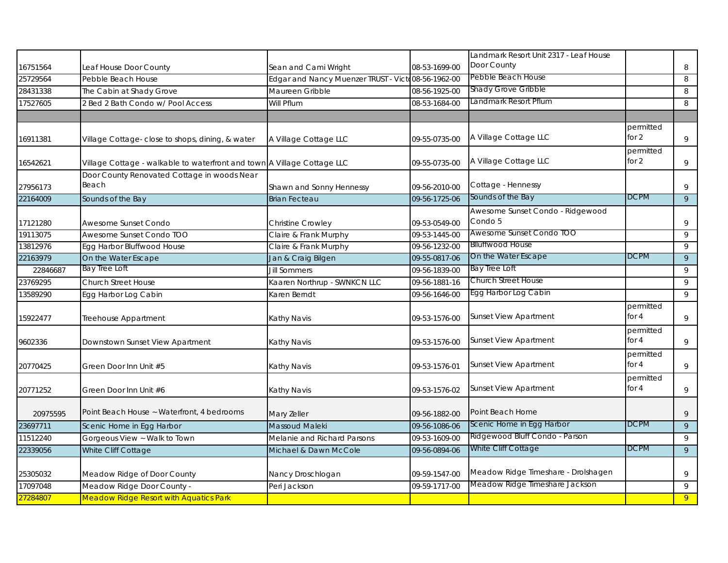|          |                                                                         |                                                    |               | Landmark Resort Unit 2317 - Leaf House      |                      |                |
|----------|-------------------------------------------------------------------------|----------------------------------------------------|---------------|---------------------------------------------|----------------------|----------------|
| 16751564 | Leaf House Door County                                                  | Sean and Cami Wright                               | 08-53-1699-00 | Door County                                 |                      | 8              |
| 25729564 | Pebble Beach House                                                      | Edgar and Nancy Muenzer TRUST - Victo08-56-1962-00 |               | Pebble Beach House                          |                      | 8              |
| 28431338 | The Cabin at Shady Grove                                                | Maureen Gribble                                    | 08-56-1925-00 | Shady Grove Gribble                         |                      | 8              |
| 17527605 | 2 Bed 2 Bath Condo w/ Pool Access                                       | Will Pflum                                         | 08-53-1684-00 | Landmark Resort Pflum                       |                      | 8              |
|          |                                                                         |                                                    |               |                                             |                      |                |
| 16911381 | Village Cottage- close to shops, dining, & water                        | A Village Cottage LLC                              | 09-55-0735-00 | A Village Cottage LLC                       | permitted<br>for 2   | $\,9$          |
| 16542621 | Village Cottage - walkable to waterfront and town A Village Cottage LLC |                                                    | 09-55-0735-00 | A Village Cottage LLC                       | permitted<br>for $2$ | 9              |
| 27956173 | Door County Renovated Cottage in woods Near<br>Beach                    | Shawn and Sonny Hennessy                           | 09-56-2010-00 | Cottage - Hennessy                          |                      | $\,9$          |
| 22164009 | Sounds of the Bay                                                       | <b>Brian Fecteau</b>                               | 09-56-1725-06 | Sounds of the Bay                           | <b>DCPM</b>          | $\overline{9}$ |
| 17121280 | Awesome Sunset Condo                                                    | Christine Crowley                                  | 09-53-0549-00 | Awesome Sunset Condo - Ridgewood<br>Condo 5 |                      | $\,9$          |
| 19113075 | Awesome Sunset Condo TOO                                                | Claire & Frank Murphy                              | 09-53-1445-00 | Awesome Sunset Condo TOO                    |                      | 9              |
| 13812976 | Egg Harbor Bluffwood House                                              | Claire & Frank Murphy                              | 09-56-1232-00 | <b>Blluffwood House</b>                     |                      | 9              |
| 22163979 | On the Water Escape                                                     | Jan & Craig Bilgen                                 | 09-55-0817-06 | On the Water Escape                         | <b>DCPM</b>          | $\overline{9}$ |
| 22846687 | <b>Bay Tree Loft</b>                                                    | <b>Jill Sommers</b>                                | 09-56-1839-00 | <b>Bay Tree Loft</b>                        |                      | 9              |
| 23769295 | Church Street House                                                     | Kaaren Northrup - SWNKCN LLC                       | 09-56-1881-16 | Church Street House                         |                      | 9              |
| 13589290 | Egg Harbor Log Cabin                                                    | Karen Berndt                                       | 09-56-1646-00 | Egg Harbor Log Cabin                        |                      | 9              |
| 15922477 | Treehouse Appartment                                                    | Kathy Navis                                        | 09-53-1576-00 | <b>Sunset View Apartment</b>                | permitted<br>for 4   | 9              |
| 9602336  | Downstown Sunset View Apartment                                         | Kathy Navis                                        | 09-53-1576-00 | <b>Sunset View Apartment</b>                | permitted<br>for $4$ | 9              |
| 20770425 | Green Door Inn Unit #5                                                  | Kathy Navis                                        | 09-53-1576-01 | <b>Sunset View Apartment</b>                | permitted<br>for $4$ | 9              |
| 20771252 | Green Door Inn Unit #6                                                  | Kathy Navis                                        | 09-53-1576-02 | <b>Sunset View Apartment</b>                | permitted<br>for 4   | 9              |
| 20975595 | Point Beach House ~ Waterfront, 4 bedrooms                              | Mary Zeller                                        | 09-56-1882-00 | Point Beach Home                            |                      | 9              |
| 23697711 | Scenic Home in Egg Harbor                                               | <b>Massoud Maleki</b>                              | 09-56-1086-06 | Scenic Home in Egg Harbor                   | <b>DCPM</b>          | 9              |
| 11512240 | Gorgeous View ~ Walk to Town                                            | Melanie and Richard Parsons                        | 09-53-1609-00 | Ridgewood Bluff Condo - Parson              |                      | 9              |
| 22339056 | White Cliff Cottage                                                     | Michael & Dawn McCole                              | 09-56-0894-06 | White Cliff Cottage                         | <b>DCPM</b>          | $\overline{9}$ |
| 25305032 | Meadow Ridge of Door County                                             | Nancy Droschlogan                                  | 09-59-1547-00 | Meadow Ridge Timeshare - Drolshagen         |                      | $\,9$          |
| 17097048 | Meadow Ridge Door County -                                              | Peri Jackson                                       | 09-59-1717-00 | Meadow Ridge Timeshare Jackson              |                      | 9              |
| 27284807 | <b>Meadow Ridge Resort with Aquatics Park</b>                           |                                                    |               |                                             |                      | 9 <sup>°</sup> |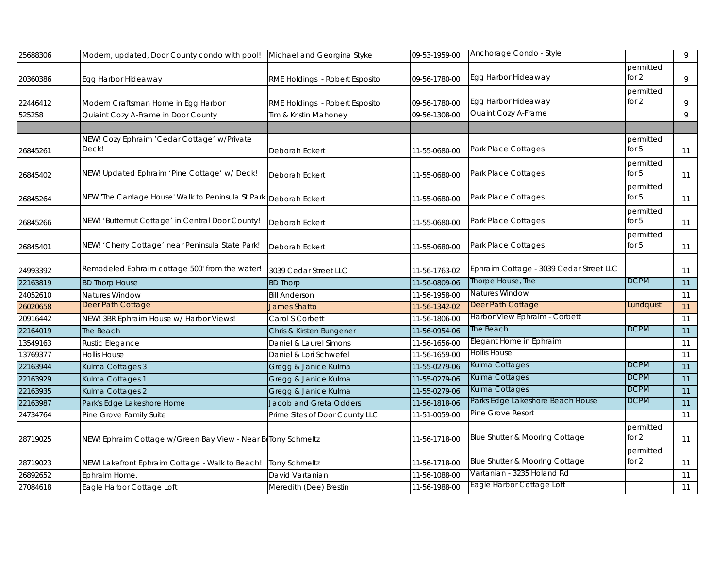| 25688306 | Modern, updated, Door County condo with pool!                     | Michael and Georgina Styke     | 09-53-1959-00 | Anchorage Condo - Style                 |                    | 9  |
|----------|-------------------------------------------------------------------|--------------------------------|---------------|-----------------------------------------|--------------------|----|
| 20360386 | Egg Harbor Hideaway                                               | RME Holdings - Robert Esposito | 09-56-1780-00 | Egg Harbor Hideaway                     | permitted<br>for 2 | 9  |
| 22446412 | Modern Craftsman Home in Egg Harbor                               | RME Holdings - Robert Esposito | 09-56-1780-00 | Egg Harbor Hideaway                     | permitted<br>for 2 | 9  |
| 525258   | Quiaint Cozy A-Frame in Door County                               | Tim & Kristin Mahoney          | 09-56-1308-00 | Quaint Cozy A-Frame                     |                    | 9  |
|          |                                                                   |                                |               |                                         |                    |    |
| 26845261 | NEW! Cozy Ephraim 'Cedar Cottage' w/Private<br>Deck!              | Deborah Eckert                 | 11-55-0680-00 | Park Place Cottages                     | permitted<br>for 5 | 11 |
| 26845402 | NEW! Updated Ephraim 'Pine Cottage' w/ Deck!                      | Deborah Eckert                 | 11-55-0680-00 | Park Place Cottages                     | permitted<br>for 5 | 11 |
| 26845264 | NEW 'The Carriage House' Walk to Peninsula St Park Deborah Eckert |                                | 11-55-0680-00 | Park Place Cottages                     | permitted<br>for 5 | 11 |
| 26845266 | NEW! 'Butternut Cottage' in Central Door County!                  | Deborah Eckert                 | 11-55-0680-00 | Park Place Cottages                     | permitted<br>for 5 | 11 |
| 26845401 | NEW! 'Cherry Cottage' near Peninsula State Park!                  | Deborah Eckert                 | 11-55-0680-00 | Park Place Cottages                     | permitted<br>for 5 | 11 |
| 24993392 | Remodeled Ephraim cottage 500' from the water!                    | 3039 Cedar Street LLC          | 11-56-1763-02 | Ephraim Cottage - 3039 Cedar Street LLC |                    | 11 |
| 22163819 | <b>BD Thorp House</b>                                             | <b>BD Thorp</b>                | 11-56-0809-06 | Thorpe House, The                       | <b>DCPM</b>        | 11 |
| 24052610 | Natures Window                                                    | <b>Bill Anderson</b>           | 11-56-1958-00 | Natures Window                          |                    | 11 |
| 26020658 | Deer Path Cottage                                                 | James Shatto                   | 11-56-1342-02 | Deer Path Cottage                       | Lundquist          | 11 |
| 20916442 | NEW! 3BR Ephraim House w/ Harbor Views!                           | Carol S Corbett                | 11-56-1806-00 | Harbor View Ephraim - Corbett           |                    | 11 |
| 22164019 | The Beach                                                         | Chris & Kirsten Bungener       | 11-56-0954-06 | The Beach                               | <b>DCPM</b>        | 11 |
| 13549163 | Rustic Elegance                                                   | Daniel & Laurel Simons         | 11-56-1656-00 | Elegant Home in Ephraim                 |                    | 11 |
| 13769377 | <b>Hollis House</b>                                               | Daniel & Lori Schwefel         | 11-56-1659-00 | <b>Hollis House</b>                     |                    | 11 |
| 22163944 | Kulma Cottages 3                                                  | Gregg & Janice Kulma           | 11-55-0279-06 | Kulma Cottages                          | <b>DCPM</b>        | 11 |
| 22163929 | Kulma Cottages 1                                                  | Gregg & Janice Kulma           | 11-55-0279-06 | Kulma Cottages                          | <b>DCPM</b>        | 11 |
| 22163935 | Kulma Cottages 2                                                  | Gregg & Janice Kulma           | 11-55-0279-06 | Kulma Cottages                          | <b>DCPM</b>        | 11 |
| 22163987 | Park's Edge Lakeshore Home                                        | Jacob and Greta Odders         | 11-56-1818-06 | Parks Edge Lakeshore Beach House        | <b>DCPM</b>        | 11 |
| 24734764 | Pine Grove Family Suite                                           | Prime Sites of Door County LLC | 11-51-0059-00 | Pine Grove Resort                       |                    | 11 |
| 28719025 | NEW! Ephraim Cottage w/Green Bay View - Near BeTony Schmeltz      |                                | 11-56-1718-00 | Blue Shutter & Mooring Cottage          | permitted<br>for 2 | 11 |
| 28719023 | NEW! Lakefront Ephraim Cottage - Walk to Beach!                   | <b>Tony Schmeltz</b>           | 11-56-1718-00 | Blue Shutter & Mooring Cottage          | permitted<br>for 2 | 11 |
| 26892652 | Ephraim Home.                                                     | David Vartanian                | 11-56-1088-00 | Vartanian - 3235 Holand Rd              |                    | 11 |
| 27084618 | Eagle Harbor Cottage Loft                                         | Meredith (Dee) Brestin         | 11-56-1988-00 | Eagle Harbor Cottage Loft               |                    | 11 |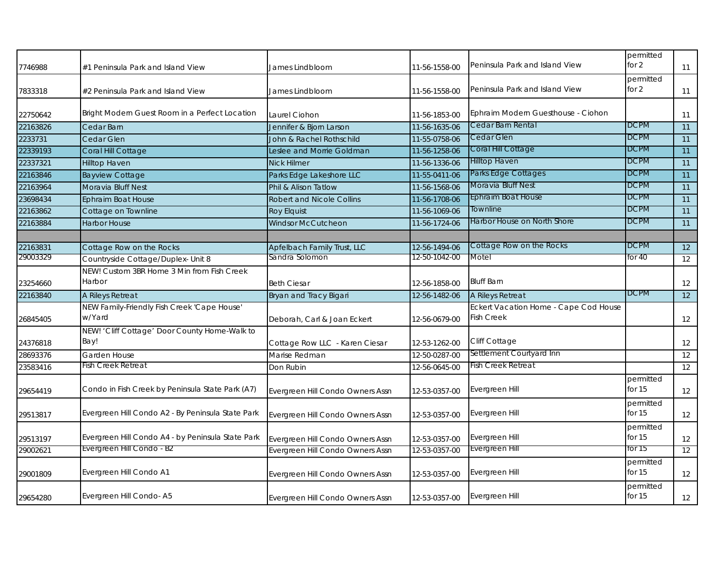| 7746988  | #1 Peninsula Park and Island View                     | James Lindbloom                  | 11-56-1558-00 | Peninsula Park and Island View                             | permitted<br>for $2$  | 11 |
|----------|-------------------------------------------------------|----------------------------------|---------------|------------------------------------------------------------|-----------------------|----|
| 7833318  | #2 Peninsula Park and Island View                     | James Lindbloom                  | 11-56-1558-00 | Peninsula Park and Island View                             | permitted<br>for $2$  | 11 |
| 22750642 | Bright Modern Guest Room in a Perfect Location        | Laurel Ciohon                    | 11-56-1853-00 | Ephraim Modern Guesthouse - Ciohon                         |                       | 11 |
| 22163826 | Cedar Barn                                            | Jennifer & Bjorn Larson          | 11-56-1635-06 | Cedar Barn Rental                                          | <b>DCPM</b>           | 11 |
| 2233731  | Cedar Glen                                            | John & Rachel Rothschild         | 11-55-0758-06 | Cedar Glen                                                 | <b>DCPM</b>           | 11 |
| 22339193 | Coral Hill Cottage                                    | Leslee and Morrie Goldman        | 11-56-1258-06 | Coral Hill Cottage                                         | <b>DCPM</b>           | 11 |
| 22337321 | Hilltop Haven                                         | <b>Nick Hilmer</b>               | 11-56-1336-06 | <b>Hilltop Haven</b>                                       | <b>DCPM</b>           | 11 |
| 22163846 | <b>Bayview Cottage</b>                                | Parks Edge Lakeshore LLC         | 11-55-0411-06 | Parks Edge Cottages                                        | <b>DCPM</b>           | 11 |
| 22163964 | Moravia Bluff Nest                                    | Phil & Alison Tatlow             | 11-56-1568-06 | Moravia Bluff Nest                                         | <b>DCPM</b>           | 11 |
| 23698434 | <b>Ephraim Boat House</b>                             | <b>Robert and Nicole Collins</b> | 11-56-1708-06 | <b>Ephraim Boat House</b>                                  | <b>DCPM</b>           | 11 |
| 22163862 | Cottage on Townline                                   | <b>Roy Elquist</b>               | 11-56-1069-06 | Townline                                                   | <b>DCPM</b>           | 11 |
| 22163884 | <b>Harbor House</b>                                   | <b>Windsor McCutcheon</b>        | 11-56-1724-06 | Harbor House on North Shore                                | <b>DCPM</b>           | 11 |
|          |                                                       |                                  |               |                                                            |                       |    |
| 22163831 | Cottage Row on the Rocks                              | Apfelbach Family Trust, LLC      | 12-56-1494-06 | Cottage Row on the Rocks                                   | <b>DCPM</b>           | 12 |
| 29003329 | Countryside Cottage/Duplex- Unit 8                    | Sandra Solomon                   | 12-50-1042-00 | Motel                                                      | for 40                | 12 |
|          | NEW! Custom 3BR Home 3 Min from Fish Creek            |                                  |               |                                                            |                       |    |
| 23254660 | Harbor                                                | <b>Beth Ciesar</b>               | 12-56-1858-00 | <b>Bluff Barn</b>                                          |                       | 12 |
| 22163840 | A Rileys Retreat                                      | Bryan and Tracy Bigari           | 12-56-1482-06 | A Rileys Retreat                                           | <b>DCPM</b>           | 12 |
| 26845405 | NEW Family-Friendly Fish Creek 'Cape House'<br>w/Yard | Deborah, Carl & Joan Eckert      | 12-56-0679-00 | Eckert Vacation Home - Cape Cod House<br><b>Fish Creek</b> |                       | 12 |
| 24376818 | NEW! 'Cliff Cottage' Door County Home-Walk to<br>Bay! | Cottage Row LLC - Karen Ciesar   | 12-53-1262-00 | Cliff Cottage                                              |                       | 12 |
| 28693376 | Garden House                                          | Marise Redman                    | 12-50-0287-00 | Settlement Courtyard Inn                                   |                       | 12 |
| 23583416 | Fish Creek Retreat                                    | Don Rubin                        | 12-56-0645-00 | Fish Creek Retreat                                         |                       | 12 |
| 29654419 | Condo in Fish Creek by Peninsula State Park (A7)      | Evergreen Hill Condo Owners Assn | 12-53-0357-00 | Evergreen Hill                                             | permitted<br>for 15   | 12 |
| 29513817 | Evergreen Hill Condo A2 - By Peninsula State Park     | Evergreen Hill Condo Owners Assn | 12-53-0357-00 | Evergreen Hill                                             | permitted<br>for $15$ | 12 |
| 29513197 | Evergreen Hill Condo A4 - by Peninsula State Park     | Evergreen Hill Condo Owners Assn | 12-53-0357-00 | Evergreen Hill                                             | permitted<br>for $15$ | 12 |
| 29002621 | <b>Evergreen Hill Condo - B2</b>                      | Evergreen Hill Condo Owners Assn | 12-53-0357-00 | <b>Evergreen Hill</b>                                      | for 15                | 12 |
| 29001809 | Evergreen Hill Condo A1                               | Evergreen Hill Condo Owners Assn | 12-53-0357-00 | Evergreen Hill                                             | permitted<br>for $15$ | 12 |
| 29654280 | Evergreen Hill Condo-A5                               | Evergreen Hill Condo Owners Assn | 12-53-0357-00 | Evergreen Hill                                             | permitted<br>for $15$ | 12 |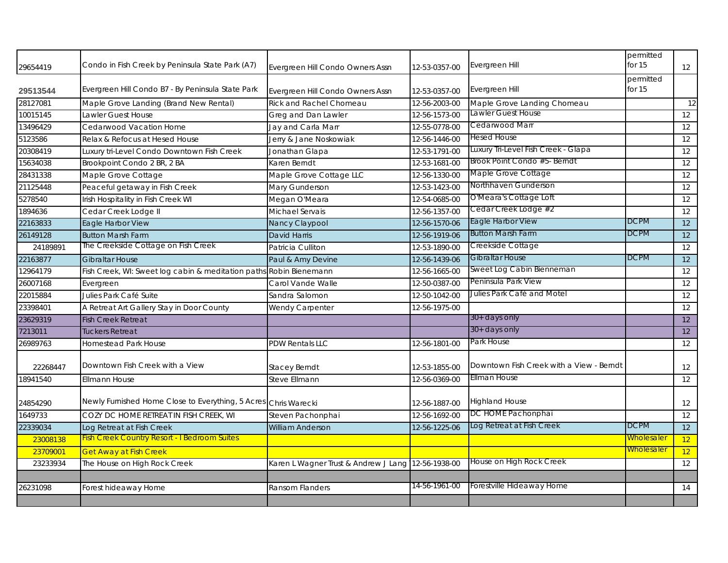| 29654419 | Condo in Fish Creek by Peninsula State Park (A7)                | Evergreen Hill Condo Owners Assn                   | 12-53-0357-00 | Evergreen Hill                           | permitted<br>for $15$ | 12 |
|----------|-----------------------------------------------------------------|----------------------------------------------------|---------------|------------------------------------------|-----------------------|----|
| 29513544 | Evergreen Hill Condo B7 - By Peninsula State Park               | Evergreen Hill Condo Owners Assn                   | 12-53-0357-00 | Evergreen Hill                           | permitted<br>for $15$ |    |
| 28127081 | Maple Grove Landing (Brand New Rental)                          | <b>Rick and Rachel Chomeau</b>                     | 12-56-2003-00 | Maple Grove Landing Chomeau              |                       | 12 |
| 10015145 | Lawler Guest House                                              | Greg and Dan Lawler                                | 12-56-1573-00 | Lawler Guest House                       |                       | 12 |
| 13496429 | Cedarwood Vacation Home                                         | Jay and Carla Marr                                 | 12-55-0778-00 | Cedarwood Marr                           |                       | 12 |
| 5123586  | Relax & Refocus at Hesed House                                  | Jerry & Jane Noskowiak                             | 12-56-1446-00 | <b>Hesed House</b>                       |                       | 12 |
| 20308419 | Luxury tri-Level Condo Downtown Fish Creek                      | Jonathan Glapa                                     | 12-53-1791-00 | Luxury Tri-Level Fish Creek - Glapa      |                       | 12 |
| 15634038 | Brookpoint Condo 2 BR, 2 BA                                     | Karen Berndt                                       | 12-53-1681-00 | Brook Point Condo #5- Berndt             |                       | 12 |
| 28431338 | Maple Grove Cottage                                             | Maple Grove Cottage LLC                            | 12-56-1330-00 | Maple Grove Cottage                      |                       | 12 |
| 21125448 | Peaceful getaway in Fish Creek                                  | Mary Gunderson                                     | 12-53-1423-00 | Northhaven Gunderson                     |                       | 12 |
| 5278540  | Irish Hospitality in Fish Creek WI                              | Megan O'Meara                                      | 12-54-0685-00 | O'Meara's Cottage Loft                   |                       | 12 |
| 1894636  | Cedar Creek Lodge II                                            | Michael Servais                                    | 12-56-1357-00 | Cedar Creek Lodge #2                     |                       | 12 |
| 22163833 | Eagle Harbor View                                               | Nancy Claypool                                     | 12-56-1570-06 | Eagle Harbor View                        | <b>DCPM</b>           | 12 |
| 26149128 | <b>Button Marsh Farm</b>                                        | <b>David Harris</b>                                | 12-56-1919-06 | <b>Button Marsh Farm</b>                 | <b>DCPM</b>           | 12 |
| 24189891 | The Creekside Cottage on Fish Creek                             | Patricia Culliton                                  | 12-53-1890-00 | Creekside Cottage                        |                       | 12 |
| 22163877 | <b>Gibraltar House</b>                                          | Paul & Amy Devine                                  | 12-56-1439-06 | Gibraltar House                          | <b>DCPM</b>           | 12 |
| 12964179 | Fish Creek, WI: Sweet log cabin & meditation paths              | Robin Bienemann                                    | 12-56-1665-00 | Sweet Log Cabin Bienneman                |                       | 12 |
| 26007168 | Evergreen                                                       | Carol Vande Walle                                  | 12-50-0387-00 | Peninsula Park View                      |                       | 12 |
| 22015884 | Julies Park Café Suite                                          | Sandra Salomon                                     | 12-50-1042-00 | Julies Park Café and Motel               |                       | 12 |
| 23398401 | A Retreat Art Gallery Stay in Door County                       | Wendy Carpenter                                    | 12-56-1975-00 |                                          |                       | 12 |
| 23629319 | <b>Fish Creek Retreat</b>                                       |                                                    |               | 30+ days only                            |                       | 12 |
| 7213011  | <b>Tuckers Retreat</b>                                          |                                                    |               | $30+$ days only                          |                       | 12 |
| 26989763 | <b>Homestead Park House</b>                                     | <b>PDW Rentals LLC</b>                             | 12-56-1801-00 | Park House                               |                       | 12 |
| 22268447 | Downtown Fish Creek with a View                                 | <b>Stacey Berndt</b>                               | 12-53-1855-00 | Downtown Fish Creek with a View - Berndt |                       | 12 |
| 18941540 | Ellmann House                                                   | Steve Ellmann                                      | 12-56-0369-00 | Ellman House                             |                       | 12 |
| 24854290 | Newly Furnished Home Close to Everything, 5 Acres Chris Warecki |                                                    | 12-56-1887-00 | <b>Highland House</b>                    |                       | 12 |
| 1649733  | COZY DC HOME RETREAT IN FISH CREEK, WI                          | Steven Pachonphai                                  | 12-56-1692-00 | DC HOME Pachonphai                       |                       | 12 |
| 22339034 | Log Retreat at Fish Creek                                       | <b>William Anderson</b>                            | 12-56-1225-06 | Log Retreat at Fish Creek                | <b>DCPM</b>           | 12 |
| 23008138 | <b>Fish Creek Country Resort - I Bedroom Suites</b>             |                                                    |               |                                          | <u>Wholesaler</u>     | 12 |
| 23709001 | <b>Get Away at Fish Creek</b>                                   |                                                    |               |                                          | <b>Wholesaler</b>     | 12 |
| 23233934 | The House on High Rock Creek                                    | Karen L Wagner Trust & Andrew J Lang 12-56-1938-00 |               | House on High Rock Creek                 |                       | 12 |
|          |                                                                 |                                                    |               |                                          |                       |    |
| 26231098 | Forest hideaway Home                                            | <b>Ransom Flanders</b>                             | 14-56-1961-00 | Forestville Hideaway Home                |                       | 14 |
|          |                                                                 |                                                    |               |                                          |                       |    |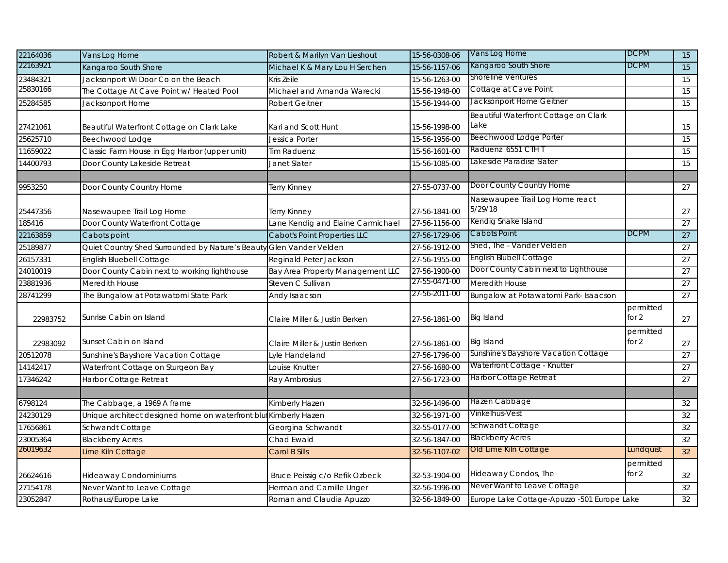| 22164036 | Vans Log Home                                                    | Robert & Marilyn Van Lieshout     | 15-56-0308-06 | Vans Log Home                               | <b>DCPM</b>          | 15              |
|----------|------------------------------------------------------------------|-----------------------------------|---------------|---------------------------------------------|----------------------|-----------------|
| 22163921 | Kangaroo South Shore                                             | Michael K & Mary Lou H Serchen    | 15-56-1157-06 | Kangaroo South Shore                        | DCPM                 | 15              |
| 23484321 | Jacksonport Wi Door Co on the Beach                              | Kris Zeile                        | 15-56-1263-00 | <b>Shoreline Ventures</b>                   |                      | 15              |
| 25830166 | The Cottage At Cave Point w/ Heated Pool                         | Michael and Amanda Warecki        | 15-56-1948-00 | Cottage at Cave Point                       |                      | 15              |
| 25284585 | Jacksonport Home                                                 | <b>Robert Geitner</b>             | 15-56-1944-00 | Jacksonport Home Geitner                    |                      | 15              |
|          |                                                                  |                                   |               | Beautiful Waterfront Cottage on Clark       |                      |                 |
| 27421061 | Beautiful Waterfront Cottage on Clark Lake                       | Kari and Scott Hunt               | 15-56-1998-00 | Lake                                        |                      | 15              |
| 25625710 | Beechwood Lodge                                                  | Jessica Porter                    | 15-56-1956-00 | Beechwood Lodge Porter                      |                      | 15              |
| 11659022 | Classic Farm House in Egg Harbor (upper unit)                    | <b>Tim Raduenz</b>                | 15-56-1601-00 | Raduenz 6551 CTH T                          |                      | 15              |
| 14400793 | Door County Lakeside Retreat                                     | Janet Slater                      | 15-56-1085-00 | Lakeside Paradise Slater                    |                      | 15              |
|          |                                                                  |                                   |               |                                             |                      |                 |
| 9953250  | Door County Country Home                                         | Terry Kinney                      | 27-55-0737-00 | Door County Country Home                    |                      | 27              |
|          |                                                                  |                                   |               | Nasewaupee Trail Log Home react             |                      |                 |
| 25447356 | Nasewaupee Trail Log Home                                        | Terry Kinney                      | 27-56-1841-00 | 5/29/18                                     |                      | 27              |
| 185416   | Door County Waterfront Cottage                                   | Lane Kendig and Elaine Carmichael | 27-56-1156-00 | Kendig Snake Island                         |                      | $\overline{27}$ |
| 22163859 | Cabots point                                                     | Cabot's Point Properties LLC      | 27-56-1729-06 | Cabots Point                                | <b>DCPM</b>          | 27              |
| 25189877 | Quiet Country Shed Surrounded by Nature's Beaut                  | Glen Vander Velden                | 27-56-1912-00 | Shed, The - Vander Velden                   |                      | 27              |
| 26157331 | English Bluebell Cottage                                         | Reginald Peter Jackson            | 27-56-1955-00 | English Blubell Cottage                     |                      | 27              |
| 24010019 | Door County Cabin next to working lighthouse                     | Bay Area Property Management LLC  | 27-56-1900-00 | Door County Cabin next to Lighthouse        |                      | 27              |
| 23881936 | Meredith House                                                   | Steven C Sullivan                 | 27-55-0471-00 | Meredith House                              |                      | 27              |
| 28741299 | The Bungalow at Potawatomi State Park                            | Andy Isaacson                     | 27-56-2011-00 | Bungalow at Potawatomi Park- Isaacson       |                      | 27              |
| 22983752 | Sunrise Cabin on Island                                          | Claire Miller & Justin Berken     | 27-56-1861-00 | Big Island                                  | permitted<br>for 2   | 27              |
| 22983092 | Sunset Cabin on Island                                           | Claire Miller & Justin Berken     | 27-56-1861-00 | Big Island                                  | permitted<br>for $2$ | 27              |
| 20512078 | Sunshine's Bayshore Vacation Cottage                             | vle Handeland                     | 27-56-1796-00 | Sunshine's Bayshore Vacation Cottage        |                      | 27              |
| 14142417 | Waterfront Cottage on Sturgeon Bay                               | ouise Knutter                     | 27-56-1680-00 | Waterfront Cottage - Knutter                |                      | 27              |
| 17346242 | Harbor Cottage Retreat                                           | Ray Ambrosius                     | 27-56-1723-00 | Harbor Cottage Retreat                      |                      | 27              |
|          |                                                                  |                                   |               |                                             |                      |                 |
| 6798124  | The Cabbage, a 1969 A frame                                      | Kimberly Hazen                    | 32-56-1496-00 | Hazen Cabbage                               |                      | 32              |
| 24230129 | Unique architect designed home on waterfront blut Kimberly Hazen |                                   | 32-56-1971-00 | Vinkelhus-Vest                              |                      | 32              |
| 17656861 | Schwandt Cottage                                                 | Georgina Schwandt                 | 32-55-0177-00 | Schwandt Cottage                            |                      | 32              |
| 23005364 | <b>Blackberry Acres</b>                                          | Chad Ewald                        | 32-56-1847-00 | <b>Blackberry Acres</b>                     |                      | 32              |
| 26019632 | Lime Kiln Cottage                                                | Carol B Sills                     | 32-56-1107-02 | Old Lime Kiln Cottage                       | Lundquist            | 32              |
|          |                                                                  |                                   |               |                                             | permitted            |                 |
| 26624616 | <b>Hideaway Condominiums</b>                                     | Bruce Peissig c/o Refik Ozbeck    | 32-53-1904-00 | Hideaway Condos, The                        | for $2$              | 32              |
| 27154178 | Never Want to Leave Cottage                                      | Herman and Camille Unger          | 32-56-1996-00 | Never Want to Leave Cottage                 |                      | 32              |
| 23052847 | Rothaus/Europe Lake                                              | Roman and Claudia Apuzzo          | 32-56-1849-00 | Europe Lake Cottage-Apuzzo -501 Europe Lake |                      | 32              |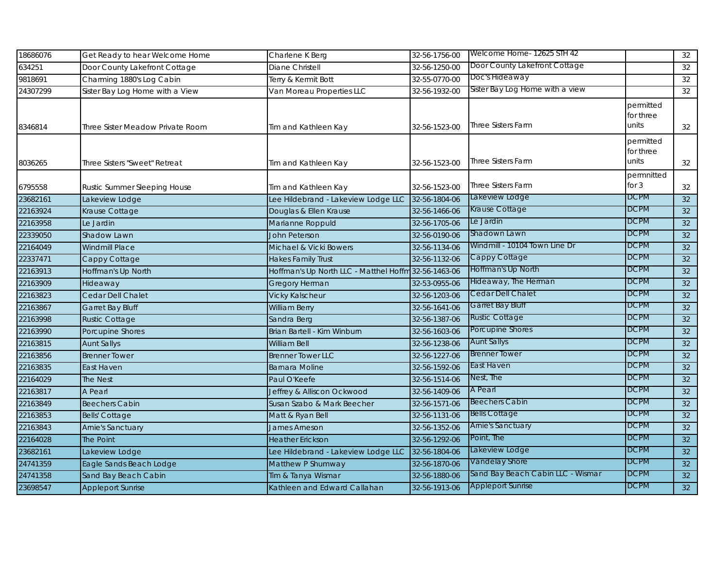| 18686076 | Get Ready to hear Welcome Home   | Charlene K Berg                                      | 32-56-1756-00 | Welcome Home- 12625 STH 42        |                                 | 32 |
|----------|----------------------------------|------------------------------------------------------|---------------|-----------------------------------|---------------------------------|----|
| 634251   | Door County Lakefront Cottage    | <b>Diane Christell</b>                               | 32-56-1250-00 | Door County Lakefront Cottage     |                                 | 32 |
| 9818691  | Charming 1880's Log Cabin        | Terry & Kermit Bott                                  | 32-55-0770-00 | Doc's Hideaway                    |                                 | 32 |
| 24307299 | Sister Bay Log Home with a View  | Van Moreau Properties LLC                            | 32-56-1932-00 | Sister Bay Log Home with a view   |                                 | 32 |
| 8346814  | Three Sister Meadow Private Room | Tim and Kathleen Kay                                 | 32-56-1523-00 | <b>Three Sisters Farm</b>         | permitted<br>for three<br>units | 32 |
| 8036265  | Three Sisters "Sweet" Retreat    | Tim and Kathleen Kay                                 | 32-56-1523-00 | <b>Three Sisters Farm</b>         | permitted<br>for three<br>units | 32 |
| 6795558  | Rustic Summer Sleeping House     | Tim and Kathleen Kay                                 | 32-56-1523-00 | <b>Three Sisters Farm</b>         | permnitted<br>for $3$           | 32 |
| 23682161 | Lakeview Lodge                   | Lee Hildebrand - Lakeview Lodge LLC                  | 32-56-1804-06 | Lakeview Lodge                    | <b>DCPM</b>                     | 32 |
| 22163924 | Krause Cottage                   | Douglas & Ellen Krause                               | 32-56-1466-06 | Krause Cottage                    | <b>DCPM</b>                     | 32 |
| 22163958 | Le Jardin                        | Marianne Roppuld                                     | 32-56-1705-06 | Le Jardin                         | <b>DCPM</b>                     | 32 |
| 22339050 | Shadow Lawn                      | <b>John Peterson</b>                                 | 32-56-0190-06 | Shadown Lawn                      | <b>DCPM</b>                     | 32 |
| 22164049 | <b>Windmill Place</b>            | Michael & Vicki Bowers                               | 32-56-1134-06 | Windmill - 10104 Town Line Dr     | <b>DCPM</b>                     | 32 |
| 22337471 | Cappy Cottage                    | <b>Hakes Family Trust</b>                            | 32-56-1132-06 | Cappy Cottage                     | <b>DCPM</b>                     | 32 |
| 22163913 | Hoffman's Up North               | Hoffman's Up North LLC - Matthel Hoffm 32-56-1463-06 |               | Hoffman's Up North                | <b>DCPM</b>                     | 32 |
| 22163909 | Hideaway                         | Gregory Herman                                       | 32-53-0955-06 | Hideaway, The Herman              | <b>DCPM</b>                     | 32 |
| 22163823 | Cedar Dell Chalet                | <b>Vicky Kalscheur</b>                               | 32-56-1203-06 | Cedar Dell Chalet                 | <b>DCPM</b>                     | 32 |
| 22163867 | Garret Bay Bluff                 | William Berry                                        | 32-56-1641-06 | Garret Bay Bluff                  | <b>DCPM</b>                     | 32 |
| 22163998 | <b>Rustic Cottage</b>            | Sandra Berg                                          | 32-56-1387-06 | <b>Rustic Cottage</b>             | <b>DCPM</b>                     | 32 |
| 22163990 | Porcupine Shores                 | Brian Bartell - Kim Winburn                          | 32-56-1603-06 | Porcupine Shores                  | <b>DCPM</b>                     | 32 |
| 22163815 | <b>Aunt Sallys</b>               | William Bell                                         | 32-56-1238-06 | <b>Aunt Sallys</b>                | <b>DCPM</b>                     | 32 |
| 22163856 | <b>Brenner Tower</b>             | <b>Brenner Tower LLC</b>                             | 32-56-1227-06 | Brenner Tower                     | <b>DCPM</b>                     | 32 |
| 22163835 | East Haven                       | <b>Barnara Moline</b>                                | 32-56-1592-06 | East Haven                        | <b>DCPM</b>                     | 32 |
| 22164029 | The Nest                         | Paul O'Keefe                                         | 32-56-1514-06 | Nest, The                         | <b>DCPM</b>                     | 32 |
| 22163817 | A Pearl                          | Jeffrey & Alliscon Ockwood                           | 32-56-1409-06 | A Pearl                           | <b>DCPM</b>                     | 32 |
| 22163849 | <b>Beechers Cabin</b>            | Susan Szabo & Mark Beecher                           | 32-56-1571-06 | <b>Beechers Cabin</b>             | <b>DCPM</b>                     | 32 |
| 22163853 | <b>Bells' Cottage</b>            | Matt & Ryan Bell                                     | 32-56-1131-06 | <b>Bells Cottage</b>              | <b>DCPM</b>                     | 32 |
| 22163843 | Arnie's Sanctuary                | <b>James Arneson</b>                                 | 32-56-1352-06 | <b>Arnie's Sanctuary</b>          | <b>DCPM</b>                     | 32 |
| 22164028 | The Point                        | <b>Heather Erickson</b>                              | 32-56-1292-06 | Point, The                        | <b>DCPM</b>                     | 32 |
| 23682161 | Lakeview Lodge                   | Lee Hildebrand - Lakeview Lodge LLC                  | 32-56-1804-06 | Lakeview Lodge                    | <b>DCPM</b>                     | 32 |
| 24741359 | Eagle Sands Beach Lodge          | Matthew P Shumway                                    | 32-56-1870-06 | Vandelay Shore                    | <b>DCPM</b>                     | 32 |
| 24741358 | Sand Bay Beach Cabin             | Tim & Tanya Wismar                                   | 32-56-1880-06 | Sand Bay Beach Cabin LLC - Wismar | <b>DCPM</b>                     | 32 |
| 23698547 | <b>Appleport Sunrise</b>         | Kathleen and Edward Callahan                         | 32-56-1913-06 | <b>Appleport Sunrise</b>          | <b>DCPM</b>                     | 32 |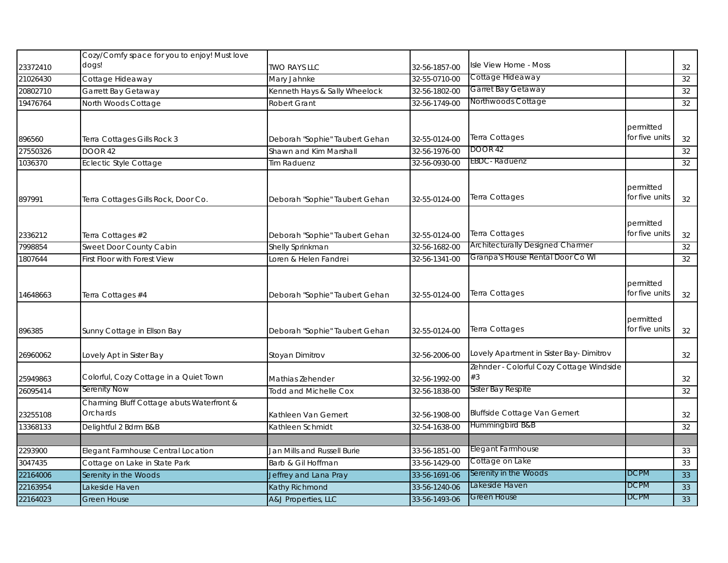|          | Cozy/Comfy space for you to enjoy! Must love |                                |               |                                          |                             |    |
|----------|----------------------------------------------|--------------------------------|---------------|------------------------------------------|-----------------------------|----|
| 23372410 | dogs!                                        | <b>TWO RAYS LLC</b>            | 32-56-1857-00 | Isle View Home - Moss                    |                             | 32 |
| 21026430 | Cottage Hideaway                             | Mary Jahnke                    | 32-55-0710-00 | Cottage Hideaway                         |                             | 32 |
| 20802710 | Garrett Bay Getaway                          | Kenneth Hays & Sally Wheelock  | 32-56-1802-00 | Garret Bay Getaway                       |                             | 32 |
| 19476764 | North Woods Cottage                          | Robert Grant                   | 32-56-1749-00 | Northwoods Cottage                       |                             | 32 |
|          |                                              |                                |               |                                          |                             |    |
|          |                                              |                                |               |                                          | permitted                   |    |
| 896560   | Terra Cottages Gills Rock 3                  | Deborah "Sophie" Taubert Gehan | 32-55-0124-00 | Terra Cottages                           | for five units              | 32 |
| 27550326 | <b>DOOR 42</b>                               | Shawn and Kim Marshall         | 32-56-1976-00 | <b>DOOR 42</b>                           |                             | 32 |
| 1036370  | <b>Eclectic Style Cottage</b>                | Tim Raduenz                    | 32-56-0930-00 | <b>EBDC</b> -Raduenz                     |                             | 32 |
|          |                                              |                                |               |                                          |                             |    |
|          |                                              |                                |               |                                          | permitted                   |    |
| 897991   | Terra Cottages Gills Rock, Door Co.          | Deborah "Sophie" Taubert Gehan | 32-55-0124-00 | Terra Cottages                           | for five units              | 32 |
|          |                                              |                                |               |                                          |                             |    |
|          |                                              |                                |               |                                          | permitted                   |    |
| 2336212  | Terra Cottages #2                            | Deborah "Sophie" Taubert Gehan | 32-55-0124-00 | Terra Cottages                           | for five units              | 32 |
| 7998854  | Sweet Door County Cabin                      | Shelly Sprinkman               | 32-56-1682-00 | Architecturally Designed Charmer         |                             | 32 |
| 1807644  | First Floor with Forest View                 | Loren & Helen Fandrei          | 32-56-1341-00 | Granpa's House Rental Door Co WI         |                             | 32 |
|          |                                              |                                |               |                                          |                             |    |
|          |                                              |                                |               | Terra Cottages                           | permitted<br>for five units |    |
| 14648663 | Terra Cottages #4                            | Deborah "Sophie" Taubert Gehan | 32-55-0124-00 |                                          |                             | 32 |
|          |                                              |                                |               |                                          |                             |    |
|          |                                              |                                |               | Terra Cottages                           | permitted<br>for five units |    |
| 896385   | Sunny Cottage in Ellson Bay                  | Deborah "Sophie" Taubert Gehan | 32-55-0124-00 |                                          |                             | 32 |
| 26960062 | Lovely Apt in Sister Bay                     | Stoyan Dimitrov                | 32-56-2006-00 | Lovely Apartment in Sister Bay- Dimitrov |                             | 32 |
|          |                                              |                                |               | Zehnder - Colorful Cozy Cottage Windside |                             |    |
| 25949863 | Colorful, Cozy Cottage in a Quiet Town       | Mathias Zehender               | 32-56-1992-00 | #3                                       |                             | 32 |
| 26095414 | Serenity Now                                 | <b>Todd and Michelle Cox</b>   | 32-56-1838-00 | Sister Bay Respite                       |                             | 32 |
|          | Charming Bluff Cottage abuts Waterfront &    |                                |               |                                          |                             |    |
| 23255108 | Orchards                                     | Kathleen Van Gemert            | 32-56-1908-00 | <b>Bluffside Cottage Van Gemert</b>      |                             | 32 |
| 13368133 | Delightful 2 Bdrm B&B                        | Kathleen Schmidt               | 32-54-1638-00 | Hummingbird B&B                          |                             | 32 |
|          |                                              |                                |               |                                          |                             |    |
| 2293900  | Elegant Farmhouse Central Location           | Jan Mills and Russell Burie    | 33-56-1851-00 | Elegant Farmhouse                        |                             | 33 |
| 3047435  | Cottage on Lake in State Park                | Barb & Gil Hoffman             | 33-56-1429-00 | Cottage on Lake                          |                             | 33 |
| 22164006 | Serenity in the Woods                        | Jeffrey and Lana Pray          | 33-56-1691-06 | Serenity in the Woods                    | <b>DCPM</b>                 | 33 |
| 22163954 | Lakeside Haven                               | Kathy Richmond                 | 33-56-1240-06 | Lakeside Haven                           | <b>DCPM</b>                 | 33 |
| 22164023 | <b>Green House</b>                           | A&J Properties, LLC            | 33-56-1493-06 | <b>Green House</b>                       | <b>DCPM</b>                 | 33 |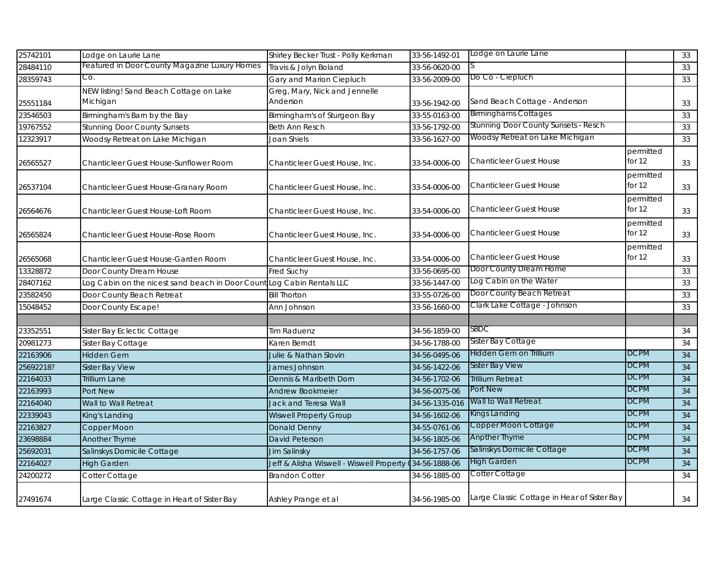| 25742101  | Lodge on Laurie Lane                                                   | Shirley Becker Trust - Polly Kerkman                    | 33-56-1492-01  | Lodge on Laurie Lane                        |                       | 33 |
|-----------|------------------------------------------------------------------------|---------------------------------------------------------|----------------|---------------------------------------------|-----------------------|----|
| 28484110  | Featured in Door County Magazine Luxury Homes                          | Travis & Jolyn Boland                                   | 33-56-0620-00  |                                             |                       | 33 |
| 28359743  | Co.                                                                    | Gary and Marion Ciepluch                                | 33-56-2009-00  | Do Co - Ciepluch                            |                       | 33 |
| 25551184  | NEW listing! Sand Beach Cottage on Lake<br>Michigan                    | Greg, Mary, Nick and Jennelle<br>Anderson               | 33-56-1942-00  | Sand Beach Cottage - Anderson               |                       | 33 |
| 23546503  | Birmingham's Barn by the Bay                                           | Birmingham's of Sturgeon Bay                            | 33-55-0163-00  | <b>Birminghams Cottages</b>                 |                       | 33 |
| 19767552  | <b>Stunning Door County Sunsets</b>                                    | Beth Ann Resch                                          | 33-56-1792-00  | Stunning Door County Sunsets - Resch        |                       | 33 |
| 12323917  | Woodsy Retreat on Lake Michigan                                        | Joan Shiels                                             | 33-56-1627-00  | Woodsy Retreat on Lake Michigan             |                       | 33 |
| 26565527  | Chanticleer Guest House-Sunflower Room                                 | Chanticleer Guest House, Inc.                           | 33-54-0006-00  | <b>Chanticleer Guest House</b>              | permitted<br>for $12$ | 33 |
| 26537104  | Chanticleer Guest House-Granary Room                                   | Chanticleer Guest House, Inc.                           | 33-54-0006-00  | <b>Chanticleer Guest House</b>              | permitted<br>for 12   | 33 |
| 26564676  | Chanticleer Guest House-Loft Room                                      | Chanticleer Guest House, Inc.                           | 33-54-0006-00  | <b>Chanticleer Guest House</b>              | permitted<br>for 12   | 33 |
| 26565824  | <b>Chanticleer Guest House-Rose Room</b>                               | Chanticleer Guest House, Inc.                           | 33-54-0006-00  | <b>Chanticleer Guest House</b>              | permitted<br>for 12   | 33 |
| 26565068  | Chanticleer Guest House-Garden Room                                    | Chanticleer Guest House, Inc.                           | 33-54-0006-00  | <b>Chanticleer Guest House</b>              | permitted<br>for 12   | 33 |
| 13328872  | Door County Dream House                                                | Fred Suchy                                              | 33-56-0695-00  | Door County Dream Home                      |                       | 33 |
| 28407162  | Log Cabin on the nicest sand beach in Door Count Log Cabin Rentals LLC |                                                         | 33-56-1447-00  | Log Cabin on the Water                      |                       | 33 |
| 23582450  | Door County Beach Retreat                                              | <b>Bill Thorton</b>                                     | 33-55-0726-00  | Door County Beach Retreat                   |                       | 33 |
| 15048452  | Door County Escape!                                                    | Ann Johnson                                             | 33-56-1660-00  | Clark Lake Cottage - Johnson                |                       | 33 |
| 23352551  | Sister Bay Eclectic Cottage                                            | Tim Raduenz                                             | 34-56-1859-00  | SBDC                                        |                       | 34 |
| 20981273  | Sister Bay Cottage                                                     | Karen Berndt                                            | 34-56-1788-00  | Sister Bay Cottage                          |                       | 34 |
| 22163906  | <b>Hidden Gem</b>                                                      | Julie & Nathan Slovin                                   | 34-56-0495-06  | Hidden Gem on Trillium                      | DCPM                  | 34 |
| 25692218? | Sister Bay View                                                        | James Johnson                                           | 34-56-1422-06  | <b>Sister Bay View</b>                      | DCPM                  | 34 |
| 22164033  | Trillium Lane                                                          | Dennis & Maribeth Dorn                                  | 34-56-1702-06  | <b>Trillium Retreat</b>                     | DCPM                  | 34 |
| 22163993  | Port New                                                               | Andrew Bookmeier                                        | 34-56-0075-06  | Port New                                    | <b>DCPM</b>           | 34 |
| 22164040  | Wall to Wall Retreat                                                   | Jack and Teresa Wall                                    | 34-56-1335-016 | Wall to Wall Retreat                        | <b>DCPM</b>           | 34 |
| 22339043  | King's Landing                                                         | <b>Wiswell Property Group</b>                           | 34-56-1602-06  | Kings Landing                               | <b>DCPM</b>           | 34 |
| 22163827  | Copper Moon                                                            | Donald Denny                                            | 34-55-0761-06  | Copper Moon Cottage                         | <b>DCPM</b>           | 34 |
| 23698884  | Another Thyme                                                          | David Peterson                                          | 34-56-1805-06  | Anpther Thyme                               | <b>DCPM</b>           | 34 |
| 25692031  | Salinskys Domicile Cottage                                             | Jim Salinsky                                            | 34-56-1757-06  | Salinskys Domicile Cottage                  | <b>DCPM</b>           | 34 |
| 22164027  | <b>High Garden</b>                                                     | Jeff & Alisha Wiswell - Wiswell Property 034-56-1888-06 |                | <b>High Garden</b>                          | DCPM                  | 34 |
| 24200272  | Cotter Cottage                                                         | <b>Brandon Cotter</b>                                   | 34-56-1885-00  | Cotter Cottage                              |                       | 34 |
| 27491674  | Large Classic Cottage in Heart of Sister Bay                           | Ashley Prange et al                                     | 34-56-1985-00  | Large Classic Cottage in Hear of Sister Bay |                       | 34 |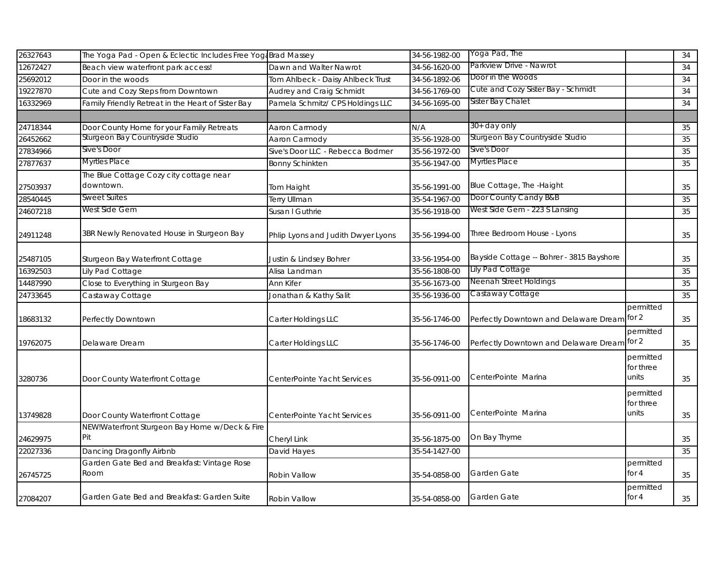| 26327643 | The Yoga Pad - Open & Eclectic Includes Free Yoga Brad Massey |                                    | 34-56-1982-00 | Yoga Pad, The                               |                                 | 34 |
|----------|---------------------------------------------------------------|------------------------------------|---------------|---------------------------------------------|---------------------------------|----|
| 12672427 | Beach view waterfront park access!                            | Dawn and Walter Nawrot             | 34-56-1620-00 | Parkview Drive - Nawrot                     |                                 | 34 |
| 25692012 | Door in the woods                                             | Tom Ahlbeck - Daisy Ahlbeck Trust  | 34-56-1892-06 | Door in the Woods                           |                                 | 34 |
| 19227870 | Cute and Cozy Steps from Downtown                             | Audrey and Craig Schmidt           | 34-56-1769-00 | Cute and Cozy Sister Bay - Schmidt          |                                 | 34 |
| 16332969 | Family Friendly Retreat in the Heart of Sister Bay            | Pamela Schmitz/ CPS Holdings LLC   | 34-56-1695-00 | Sister Bay Chalet                           |                                 | 34 |
|          |                                                               |                                    |               |                                             |                                 |    |
| 24718344 | Door County Home for your Family Retreats                     | Aaron Carmody                      | N/A           | 30+ day only                                |                                 | 35 |
| 26452662 | Sturgeon Bay Countryside Studio                               | Aaron Carmody                      | 35-56-1928-00 | Sturgeon Bay Countryside Studio             |                                 | 35 |
| 27834966 | Sive's Door                                                   | Sive's Door LLC - Rebecca Bodmer   | 35-56-1972-00 | Sive's Door                                 |                                 | 35 |
| 27877637 | Myrtles Place                                                 | <b>Bonny Schinkten</b>             | 35-56-1947-00 | Myrtles Place                               |                                 | 35 |
|          | The Blue Cottage Cozy city cottage near                       |                                    |               |                                             |                                 |    |
| 27503937 | downtown.                                                     | Tom Haight                         | 35-56-1991-00 | Blue Cottage, The -Haight                   |                                 | 35 |
| 28540445 | <b>Sweet Suites</b>                                           | Terry Ullman                       | 35-54-1967-00 | Door County Candy B&B                       |                                 | 35 |
| 24607218 | West Side Gem                                                 | Susan I Guthrie                    | 35-56-1918-00 | West Side Gem - 223 S Lansing               |                                 | 35 |
| 24911248 | 3BR Newly Renovated House in Sturgeon Bay                     | Phlip Lyons and Judith Dwyer Lyons | 35-56-1994-00 | Three Bedroom House - Lyons                 |                                 | 35 |
| 25487105 | Sturgeon Bay Waterfront Cottage                               | Justin & Lindsey Bohrer            | 33-56-1954-00 | Bayside Cottage -- Bohrer - 3815 Bayshore   |                                 | 35 |
| 16392503 | Lily Pad Cottage                                              | Alisa Landman                      | 35-56-1808-00 | Lily Pad Cottage                            |                                 | 35 |
| 14487990 | Close to Everything in Sturgeon Bay                           | Ann Kifer                          | 35-56-1673-00 | Neenah Street Holdings                      |                                 | 35 |
| 24733645 | Castaway Cottage                                              | Jonathan & Kathy Salit             | 35-56-1936-00 | Castaway Cottage                            |                                 | 35 |
| 18683132 | Perfectly Downtown                                            | Carter Holdings LLC                | 35-56-1746-00 | Perfectly Downtown and Delaware Dream for 2 | permitted                       | 35 |
| 19762075 | Delaware Dream                                                | Carter Holdings LLC                | 35-56-1746-00 | Perfectly Downtown and Delaware Dream for 2 | permitted                       | 35 |
| 3280736  | Door County Waterfront Cottage                                | CenterPointe Yacht Services        | 35-56-0911-00 | CenterPointe Marina                         | permitted<br>for three<br>units | 35 |
| 13749828 | Door County Waterfront Cottage                                | CenterPointe Yacht Services        | 35-56-0911-00 | CenterPointe Marina                         | permitted<br>for three<br>units | 35 |
|          | NEW!Waterfront Sturgeon Bay Home w/Deck & Fire                |                                    |               |                                             |                                 |    |
| 24629975 | Pit                                                           | Cheryl Link                        | 35-56-1875-00 | On Bay Thyme                                |                                 | 35 |
| 22027336 | Dancing Dragonfly Airbnb                                      | David Hayes                        | 35-54-1427-00 |                                             |                                 | 35 |
| 26745725 | Garden Gate Bed and Breakfast: Vintage Rose<br>Room           | Robin Vallow                       | 35-54-0858-00 | Garden Gate                                 | permitted<br>for $4$            | 35 |
| 27084207 | Garden Gate Bed and Breakfast: Garden Suite                   | Robin Vallow                       | 35-54-0858-00 | Garden Gate                                 | permitted<br>for $4$            | 35 |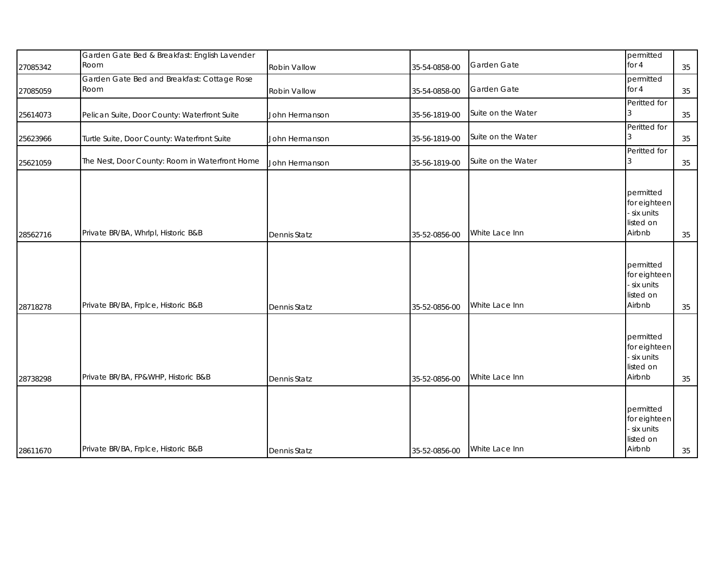| 27085342 | Garden Gate Bed & Breakfast: English Lavender<br>Room | Robin Vallow        | 35-54-0858-00 | Garden Gate        | permitted<br>for 4                                              | 35 |
|----------|-------------------------------------------------------|---------------------|---------------|--------------------|-----------------------------------------------------------------|----|
| 27085059 | Garden Gate Bed and Breakfast: Cottage Rose<br>Room   | Robin Vallow        | 35-54-0858-00 | Garden Gate        | permitted<br>for 4                                              | 35 |
| 25614073 | Pelican Suite, Door County: Waterfront Suite          | John Hermanson      | 35-56-1819-00 | Suite on the Water | Peritted for                                                    | 35 |
| 25623966 | Turtle Suite, Door County: Waterfront Suite           | John Hermanson      | 35-56-1819-00 | Suite on the Water | Peritted for                                                    | 35 |
| 25621059 | The Nest, Door County: Room in Waterfront Home        | John Hermanson      | 35-56-1819-00 | Suite on the Water | Peritted for                                                    | 35 |
| 28562716 | Private BR/BA, Whrlpl, Historic B&B                   | <b>Dennis Statz</b> | 35-52-0856-00 | White Lace Inn     | permitted<br>for eighteen<br>six units<br>listed on<br>Airbnb   | 35 |
| 28718278 | Private BR/BA, Frplce, Historic B&B                   | <b>Dennis Statz</b> | 35-52-0856-00 | White Lace Inn     | permitted<br>for eighteen<br>- six units<br>listed on<br>Airbnb | 35 |
| 28738298 | Private BR/BA, FP&WHP, Historic B&B                   | <b>Dennis Statz</b> | 35-52-0856-00 | White Lace Inn     | permitted<br>for eighteen<br>- six units<br>listed on<br>Airbnb | 35 |
| 28611670 | Private BR/BA, Frplce, Historic B&B                   | <b>Dennis Statz</b> | 35-52-0856-00 | White Lace Inn     | permitted<br>for eighteen<br>- six units<br>listed on<br>Airbnb | 35 |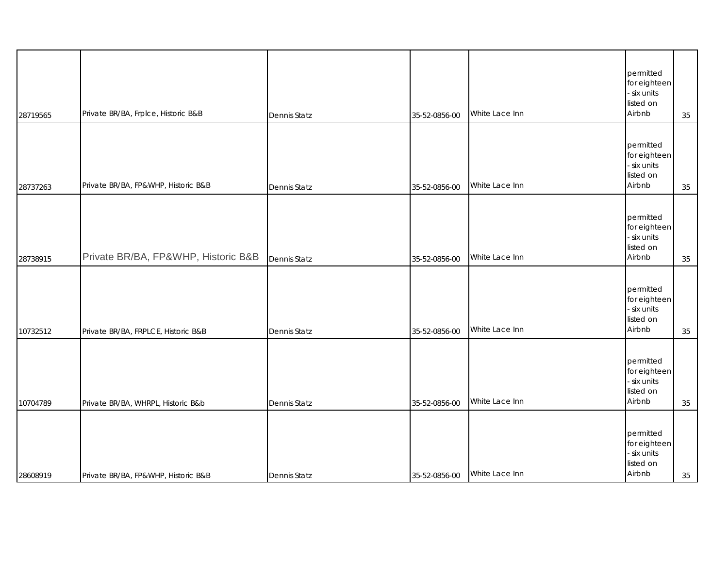| 28719565 | Private BR/BA, Frplce, Historic B&B | Dennis Statz        | 35-52-0856-00 | White Lace Inn | permitted<br>for eighteen<br>- six units<br>listed on<br>Airbnb | 35 |
|----------|-------------------------------------|---------------------|---------------|----------------|-----------------------------------------------------------------|----|
| 28737263 | Private BR/BA, FP&WHP, Historic B&B | Dennis Statz        | 35-52-0856-00 | White Lace Inn | permitted<br>for eighteen<br>- six units<br>listed on<br>Airbnb | 35 |
| 28738915 | Private BR/BA, FP&WHP, Historic B&B | <b>Dennis Statz</b> | 35-52-0856-00 | White Lace Inn | permitted<br>for eighteen<br>- six units<br>listed on<br>Airbnb | 35 |
| 10732512 | Private BR/BA, FRPLCE, Historic B&B | Dennis Statz        | 35-52-0856-00 | White Lace Inn | permitted<br>for eighteen<br>- six units<br>listed on<br>Airbnb | 35 |
| 10704789 | Private BR/BA, WHRPL, Historic B&b  | Dennis Statz        | 35-52-0856-00 | White Lace Inn | permitted<br>for eighteen<br>- six units<br>listed on<br>Airbnb | 35 |
| 28608919 | Private BR/BA, FP&WHP, Historic B&B | <b>Dennis Statz</b> | 35-52-0856-00 | White Lace Inn | permitted<br>for eighteen<br>- six units<br>listed on<br>Airbnb | 35 |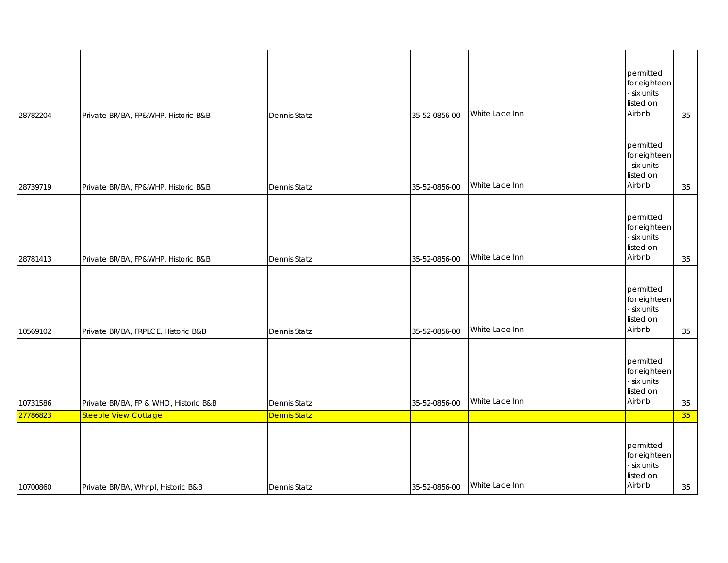| 28782204 | Private BR/BA, FP&WHP, Historic B&B   | <b>Dennis Statz</b> | 35-52-0856-00 | White Lace Inn | permitted<br>for eighteen<br>- six units<br>listed on<br>Airbnb | 35     |
|----------|---------------------------------------|---------------------|---------------|----------------|-----------------------------------------------------------------|--------|
| 28739719 | Private BR/BA, FP&WHP, Historic B&B   | Dennis Statz        | 35-52-0856-00 | White Lace Inn | permitted<br>for eighteen<br>- six units<br>listed on<br>Airbnb | 35     |
| 28781413 | Private BR/BA, FP&WHP, Historic B&B   | Dennis Statz        | 35-52-0856-00 | White Lace Inn | permitted<br>for eighteen<br>- six units<br>listed on<br>Airbnb | 35     |
| 10569102 | Private BR/BA, FRPLCE, Historic B&B   | Dennis Statz        | 35-52-0856-00 | White Lace Inn | permitted<br>for eighteen<br>- six units<br>listed on<br>Airbnb | 35     |
| 10731586 | Private BR/BA, FP & WHO, Historic B&B | Dennis Statz        | 35-52-0856-00 | White Lace Inn | permitted<br>for eighteen<br>- six units<br>listed on<br>Airbnb | $35\,$ |
| 27786823 | <b>Steeple View Cottage</b>           | <b>Dennis Statz</b> |               |                |                                                                 | 35     |
| 10700860 | Private BR/BA, Whrlpl, Historic B&B   | Dennis Statz        | 35-52-0856-00 | White Lace Inn | permitted<br>for eighteen<br>- six units<br>listed on<br>Airbnb | 35     |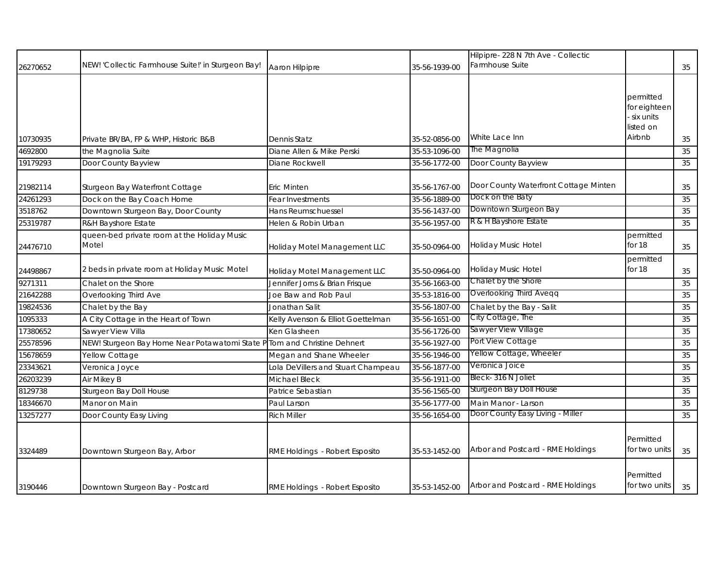| 26270652             | NEW! 'Collectic Farmhouse Suite!' in Sturgeon Bay!            | Aaron Hilpipre                     | 35-56-1939-00                  | Hilpipre- 228 N 7th Ave - Collectic<br>Farmhouse Suite    |                                                               | 35           |
|----------------------|---------------------------------------------------------------|------------------------------------|--------------------------------|-----------------------------------------------------------|---------------------------------------------------------------|--------------|
| 10730935             | Private BR/BA, FP & WHP, Historic B&B                         | Dennis Statz                       | 35-52-0856-00                  | White Lace Inn                                            | permitted<br>for eighteen<br>six units<br>listed on<br>Airbnb | 35           |
| 4692800              | the Magnolia Suite                                            | Diane Allen & Mike Perski          | 35-53-1096-00                  | The Magnolia                                              |                                                               | 35           |
| 19179293             | Door County Bayview                                           | Diane Rockwell                     | 35-56-1772-00                  | Door County Bayview                                       |                                                               | 35           |
| 21982114<br>24261293 | Sturgeon Bay Waterfront Cottage<br>Dock on the Bay Coach Home | Eric Minten<br>Fear Investments    | 35-56-1767-00<br>35-56-1889-00 | Door County Waterfront Cottage Minten<br>Dock on the Baty |                                                               | $35\,$<br>35 |
| 3518762              | Downtown Sturgeon Bay, Door County                            | Hans Reumschuessel                 | 35-56-1437-00                  | Downtown Sturgeon Bay                                     |                                                               | 35           |
| 25319787             | R&H Bayshore Estate                                           | Helen & Robin Urban                | 35-56-1957-00                  | R & H Bayshore Estate                                     |                                                               | 35           |
| 24476710             | queen-bed private room at the Holiday Music<br>Motel          | Holiday Motel Management LLC       | 35-50-0964-00                  | Holiday Music Hotel                                       | permitted<br>for 18                                           | 35           |
| 24498867             | 2 beds in private room at Holiday Music Motel                 | Holiday Motel Management LLC       | 35-50-0964-00                  | Holiday Music Hotel                                       | permitted<br>for 18                                           | 35           |
| 9271311              | Chalet on the Shore                                           | Jennifer Jorns & Brian Frisque     | 35-56-1663-00                  | Chalet by the Shore                                       |                                                               | 35           |
| 21642288             | Overlooking Third Ave                                         | Joe Baw and Rob Paul               | 35-53-1816-00                  | <b>Overlooking Third Aveqq</b>                            |                                                               | 35           |
| 19824536             | Chalet by the Bay                                             | Jonathan Salit                     | 35-56-1807-00                  | Chalet by the Bay - Salit                                 |                                                               | 35           |
| 1095333              | A City Cottage in the Heart of Town                           | Kelly Avenson & Elliot Goettelman  | 35-56-1651-00                  | City Cottage, The                                         |                                                               | 35           |
| 17380652             | Sawyer View Villa                                             | Ken Glasheen                       | 35-56-1726-00                  | Sawyer View Village                                       |                                                               | 35           |
| 25578596             | NEW! Sturgeon Bay Home Near Potawatomi State P                | Tom and Christine Dehnert          | 35-56-1927-00                  | Port View Cottage                                         |                                                               | 35           |
| 15678659             | Yellow Cottage                                                | Megan and Shane Wheeler            | 35-56-1946-00                  | Yellow Cottage, Wheeler                                   |                                                               | 35           |
| 23343621             | Veronica Joyce                                                | Lola DeVillers and Stuart Champeau | 35-56-1877-00                  | Veronica Joice                                            |                                                               | 35           |
| 26203239             | Air Mikey B                                                   | Michael Bleck                      | 35-56-1911-00                  | Bleck-316 N Joliet                                        |                                                               | 35           |
| 8129738              | Sturgeon Bay Doll House                                       | Patrice Sebastian                  | 35-56-1565-00                  | Sturgeon Bay Doll House                                   |                                                               | 35           |
| 18346670             | Manor on Main                                                 | Paul Larson                        | 35-56-1777-00                  | Main Manor - Larson                                       |                                                               | 35           |
| 13257277             | Door County Easy Living                                       | <b>Rich Miller</b>                 | 35-56-1654-00                  | Door County Easy Living - Miller                          |                                                               | 35           |
| 3324489              | Downtown Sturgeon Bay, Arbor                                  | RME Holdings - Robert Esposito     | 35-53-1452-00                  | Arbor and Postcard - RME Holdings                         | Permitted<br>for two units                                    | 35           |
| 3190446              | Downtown Sturgeon Bay - Postcard                              | RME Holdings - Robert Esposito     | 35-53-1452-00                  | Arbor and Postcard - RME Holdings                         | Permitted<br>for two units                                    | 35           |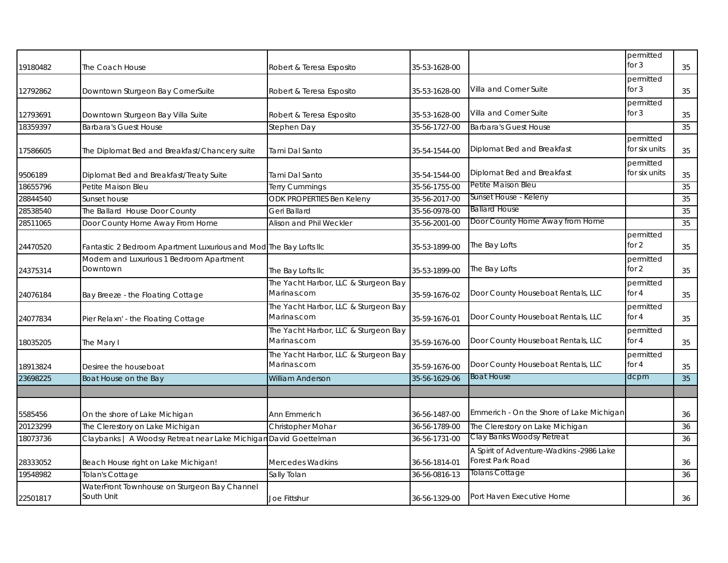| 19180482 | The Coach House                                                   | Robert & Teresa Esposito                            | 35-53-1628-00 |                                                              | permitted<br>for $3$       | 35 |
|----------|-------------------------------------------------------------------|-----------------------------------------------------|---------------|--------------------------------------------------------------|----------------------------|----|
| 12792862 | Downtown Sturgeon Bay CornerSuite                                 | Robert & Teresa Esposito                            | 35-53-1628-00 | Villa and Corner Suite                                       | permitted<br>for $3$       | 35 |
| 12793691 | Downtown Sturgeon Bay Villa Suite                                 | Robert & Teresa Esposito                            | 35-53-1628-00 | Villa and Corner Suite                                       | permitted<br>for $3$       | 35 |
| 18359397 | <b>Barbara's Guest House</b>                                      | Stephen Day                                         | 35-56-1727-00 | <b>Barbara's Guest House</b>                                 |                            | 35 |
| 17586605 | The Diplomat Bed and Breakfast/Chancery suite                     | Tami Dal Santo                                      | 35-54-1544-00 | Diplomat Bed and Breakfast                                   | permitted<br>for six units | 35 |
| 9506189  | Diplomat Bed and Breakfast/Treaty Suite                           | Tami Dal Santo                                      | 35-54-1544-00 | Diplomat Bed and Breakfast                                   | permitted<br>for six units | 35 |
| 18655796 | Petite Maison Bleu                                                | <b>Terry Cummings</b>                               | 35-56-1755-00 | Petite Maison Bleu                                           |                            | 35 |
| 28844540 | Sunset house                                                      | <b>ODK PROPERTIES Ben Keleny</b>                    | 35-56-2017-00 | Sunset House - Keleny                                        |                            | 35 |
| 28538540 | The Ballard House Door County                                     | Geri Ballard                                        | 35-56-0978-00 | <b>Ballard House</b>                                         |                            | 35 |
| 28511065 | Door County Home Away From Home                                   | Alison and Phil Weckler                             | 35-56-2001-00 | Door County Home Away from Home                              |                            | 35 |
| 24470520 | Fantastic 2 Bedroom Apartment Luxurious and Mod The Bay Lofts IIc |                                                     | 35-53-1899-00 | The Bay Lofts                                                | permitted<br>for 2         | 35 |
| 24375314 | Modern and Luxurious 1 Bedroom Apartment<br>Downtown              | The Bay Lofts IIc                                   | 35-53-1899-00 | The Bay Lofts                                                | permitted<br>for 2         | 35 |
| 24076184 | Bay Breeze - the Floating Cottage                                 | The Yacht Harbor, LLC & Sturgeon Bay<br>Marinas.com | 35-59-1676-02 | Door County Houseboat Rentals, LLC                           | permitted<br>for $4$       | 35 |
| 24077834 | Pier Relaxn' - the Floating Cottage                               | The Yacht Harbor, LLC & Sturgeon Bay<br>Marinas.com | 35-59-1676-01 | Door County Houseboat Rentals, LLC                           | permitted<br>for $4$       | 35 |
| 18035205 | The Mary I                                                        | The Yacht Harbor, LLC & Sturgeon Bay<br>Marinas.com | 35-59-1676-00 | Door County Houseboat Rentals, LLC                           | permitted<br>for $4$       | 35 |
| 18913824 | Desiree the houseboat                                             | The Yacht Harbor, LLC & Sturgeon Bay<br>Marinas.com | 35-59-1676-00 | Door County Houseboat Rentals, LLC                           | permitted<br>for $4$       | 35 |
| 23698225 | Boat House on the Bay                                             | <b>William Anderson</b>                             | 35-56-1629-06 | <b>Boat House</b>                                            | dcpm                       | 35 |
| 5585456  | On the shore of Lake Michigan                                     | Ann Emmerich                                        | 36-56-1487-00 | Emmerich - On the Shore of Lake Michigan                     |                            | 36 |
| 20123299 | The Clerestory on Lake Michigan                                   | Christopher Mohar                                   | 36-56-1789-00 | The Clerestory on Lake Michigan                              |                            | 36 |
| 18073736 | Claybanks   A Woodsy Retreat near Lake Michigan David Goettelman  |                                                     | 36-56-1731-00 | Clay Banks Woodsy Retreat                                    |                            | 36 |
| 28333052 | Beach House right on Lake Michigan!                               | Mercedes Wadkins                                    | 36-56-1814-01 | A Spirit of Adventure-Wadkins -2986 Lake<br>Forest Park Road |                            | 36 |
| 19548982 | Tolan's Cottage                                                   | Sally Tolan                                         | 36-56-0816-13 | Tolans Cottage                                               |                            | 36 |
| 22501817 | WaterFront Townhouse on Sturgeon Bay Channel<br>South Unit        | Joe Fittshur                                        | 36-56-1329-00 | Port Haven Executive Home                                    |                            | 36 |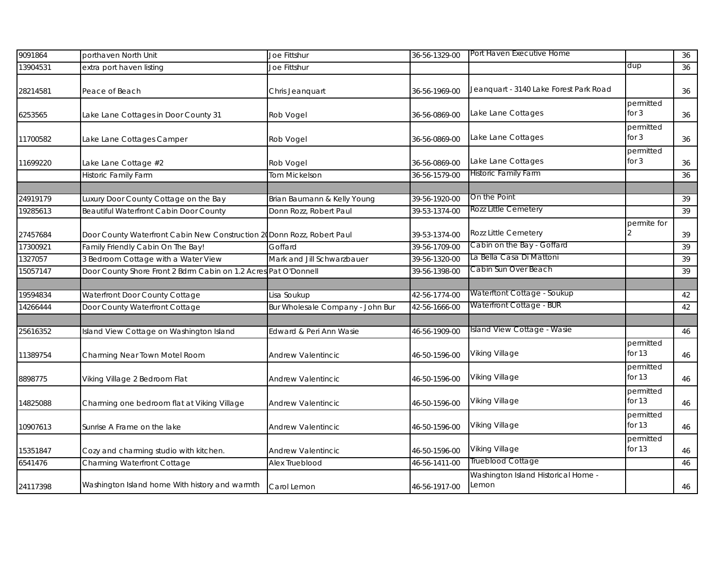| 9091864  | porthaven North Unit                                                    | Joe Fittshur                     | 36-56-1329-00 | Port Haven Executive Home                    |                       | 36 |
|----------|-------------------------------------------------------------------------|----------------------------------|---------------|----------------------------------------------|-----------------------|----|
| 13904531 | extra port haven listing                                                | Joe Fittshur                     |               |                                              | dup                   | 36 |
| 28214581 | Peace of Beach                                                          | Chris Jeanquart                  | 36-56-1969-00 | Jeanquart - 3140 Lake Forest Park Road       |                       | 36 |
| 6253565  | Lake Lane Cottages in Door County 31                                    | Rob Vogel                        | 36-56-0869-00 | Lake Lane Cottages                           | permitted<br>for $3$  | 36 |
| 11700582 | Lake Lane Cottages Camper                                               | Rob Vogel                        | 36-56-0869-00 | Lake Lane Cottages                           | permitted<br>for $3$  | 36 |
| 11699220 | Lake Lane Cottage #2                                                    | Rob Vogel                        | 36-56-0869-00 | Lake Lane Cottages                           | permitted<br>for $3$  | 36 |
|          | <b>Historic Family Farm</b>                                             | Tom Mickelson                    | 36-56-1579-00 | Historic Family Farm                         |                       | 36 |
|          |                                                                         |                                  |               |                                              |                       |    |
| 24919179 | Luxury Door County Cottage on the Bay                                   | Brian Baumann & Kelly Young      | 39-56-1920-00 | On the Point                                 |                       | 39 |
| 19285613 | <b>Beautiful Waterfront Cabin Door County</b>                           | Donn Rozz, Robert Paul           | 39-53-1374-00 | Rozz Little Cemetery                         |                       | 39 |
| 27457684 | Door County Waterfront Cabin New Construction 20 Donn Rozz, Robert Paul |                                  | 39-53-1374-00 | Rozz Little Cemetery                         | permite for           | 39 |
| 17300921 | Family Friendly Cabin On The Bay!                                       | Goffard                          | 39-56-1709-00 | Cabin on the Bay - Goffard                   |                       | 39 |
| 1327057  | 3 Bedroom Cottage with a Water View                                     | Mark and Jill Schwarzbauer       | 39-56-1320-00 | La Bella Casa Di Mattoni                     |                       | 39 |
| 15057147 | Door County Shore Front 2 Bdrm Cabin on 1.2 Acres                       | Pat O'Donnell                    | 39-56-1398-00 | Cabin Sun Over Beach                         |                       | 39 |
|          |                                                                         |                                  |               |                                              |                       |    |
| 19594834 | Waterfront Door County Cottage                                          | Lisa Soukup                      | 42-56-1774-00 | Waterftont Cottage - Soukup                  |                       | 42 |
| 14266444 | Door County Waterfront Cottage                                          | Bur Wholesale Company - John Bur | 42-56-1666-00 | Waterfront Cottage - BUR                     |                       | 42 |
|          |                                                                         |                                  |               |                                              |                       |    |
| 25616352 | Island View Cottage on Washington Island                                | Edward & Peri Ann Wasie          | 46-56-1909-00 | Island View Cottage - Wasie                  |                       | 46 |
| 11389754 | Charming Near Town Motel Room                                           | Andrew Valentincic               | 46-50-1596-00 | Viking Village                               | permitted<br>for $13$ | 46 |
| 8898775  | Viking Village 2 Bedroom Flat                                           | Andrew Valentincic               | 46-50-1596-00 | Viking Village                               | permitted<br>for $13$ | 46 |
| 14825088 | Charming one bedroom flat at Viking Village                             | Andrew Valentincic               | 46-50-1596-00 | Viking Village                               | permitted<br>for $13$ | 46 |
| 10907613 | Sunrise A Frame on the lake                                             | Andrew Valentincic               | 46-50-1596-00 | Viking Village                               | permitted<br>for $13$ | 46 |
| 15351847 | Cozy and charming studio with kitchen.                                  | Andrew Valentincic               | 46-50-1596-00 | Viking Village                               | permitted<br>for 13   | 46 |
| 6541476  | Charming Waterfront Cottage                                             | Alex Trueblood                   | 46-56-1411-00 | Trueblood Cottage                            |                       | 46 |
| 24117398 | Washington Island home With history and warmth                          | Carol Lemon                      | 46-56-1917-00 | Washington Island Historical Home -<br>Lemon |                       | 46 |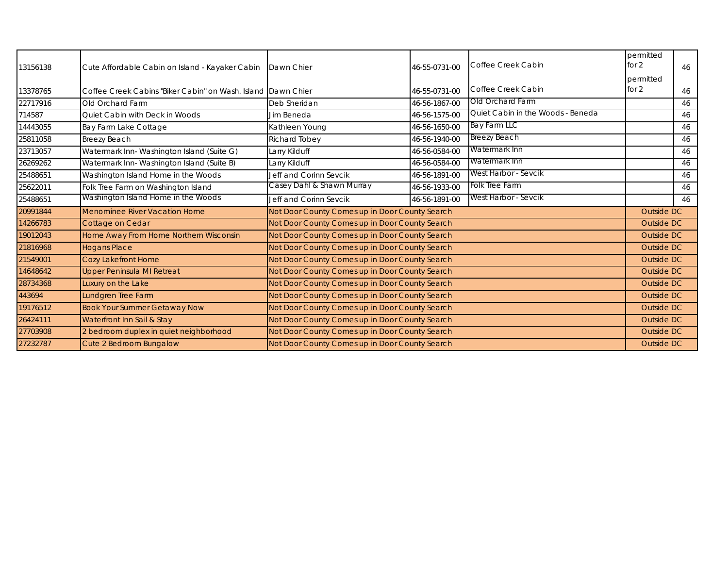| 13156138 | Cute Affordable Cabin on Island - Kayaker Cabin              | Dawn Chier                                     | 46-55-0731-00 | Coffee Creek Cabin                | permitted<br>for $2$ | 46 |
|----------|--------------------------------------------------------------|------------------------------------------------|---------------|-----------------------------------|----------------------|----|
| 13378765 | Coffee Creek Cabins "Biker Cabin" on Wash, Island Dawn Chier |                                                | 46-55-0731-00 | Coffee Creek Cabin                | permitted<br>for $2$ | 46 |
| 22717916 | Old Orchard Farm                                             | Deb Sheridan                                   | 46-56-1867-00 | Old Orchard Farm                  |                      | 46 |
| 714587   | Quiet Cabin with Deck in Woods                               | Jim Beneda                                     | 46-56-1575-00 | Quiet Cabin in the Woods - Beneda |                      | 46 |
| 14443055 | Bay Farm Lake Cottage                                        | Kathleen Young                                 | 46-56-1650-00 | <b>Bay Farm LLC</b>               |                      | 46 |
| 25811058 | Breezy Beach                                                 | Richard Tobey                                  | 46-56-1940-00 | <b>Breezy Beach</b>               |                      | 46 |
| 23713057 | Watermark Inn-Washington Island (Suite G)                    | Larry Kilduff                                  | 46-56-0584-00 | Watermark Inn                     |                      | 46 |
| 26269262 | Watermark Inn- Washington Island (Suite B)                   | Larry Kilduff                                  | 46-56-0584-00 | Watermark Inn                     |                      | 46 |
| 25488651 | Washington Island Home in the Woods                          | Jeff and Corinn Sevcik                         | 46-56-1891-00 | West Harbor - Sevcik              |                      | 46 |
| 25622011 | Folk Tree Farm on Washington Island                          | Casey Dahl & Shawn Murray                      | 46-56-1933-00 | Folk Tree Farm                    |                      | 46 |
| 25488651 | Washington Island Home in the Woods                          | Jeff and Corinn Sevcik                         | 46-56-1891-00 | West Harbor - Sevcik              |                      | 46 |
| 20991844 | Menominee River Vacation Home                                | Not Door County Comes up in Door County Search |               |                                   | Outside DC           |    |
| 14266783 | Cottage on Cedar                                             | Not Door County Comes up in Door County Search |               |                                   | Outside DC           |    |
| 19012043 | Home Away From Home Northern Wisconsin                       | Not Door County Comes up in Door County Search |               |                                   | Outside DC           |    |
| 21816968 | <b>Hogans Place</b>                                          | Not Door County Comes up in Door County Search |               |                                   | Outside DC           |    |
| 21549001 | Cozy Lakefront Home                                          | Not Door County Comes up in Door County Search |               |                                   | <b>Outside DC</b>    |    |
| 14648642 | Upper Peninsula MI Retreat                                   | Not Door County Comes up in Door County Search |               |                                   | Outside DC           |    |
| 28734368 | Luxury on the Lake                                           | Not Door County Comes up in Door County Search |               |                                   | Outside DC           |    |
| 443694   | Lundgren Tree Farm                                           | Not Door County Comes up in Door County Search |               |                                   | Outside DC           |    |
| 19176512 | <b>Book Your Summer Getaway Now</b>                          | Not Door County Comes up in Door County Search |               |                                   | Outside DC           |    |
| 26424111 | Waterfront Inn Sail & Stay                                   | Not Door County Comes up in Door County Search |               |                                   | Outside DC           |    |
| 27703908 | 2 bedroom duplex in quiet neighborhood                       | Not Door County Comes up in Door County Search |               |                                   | Outside DC           |    |
| 27232787 | Cute 2 Bedroom Bungalow                                      | Not Door County Comes up in Door County Search |               |                                   | Outside DC           |    |